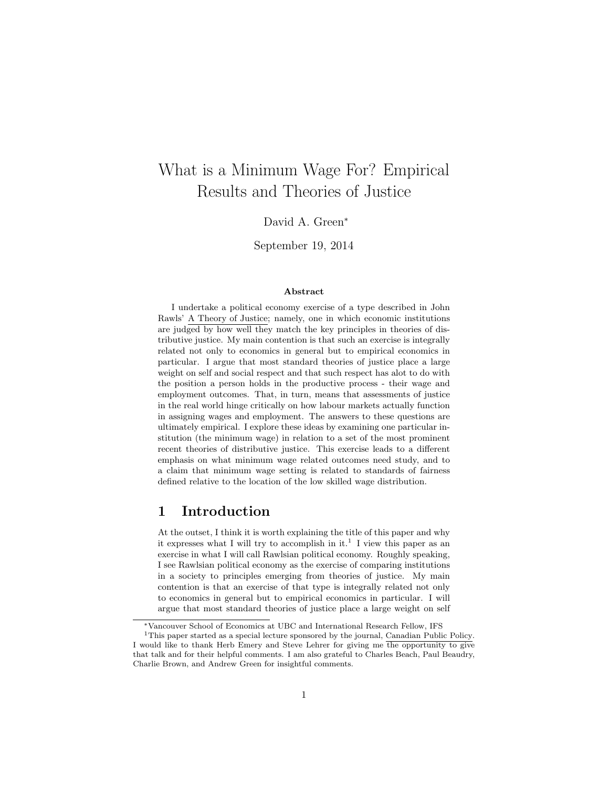# What is a Minimum Wage For? Empirical Results and Theories of Justice

#### David A. Green<sup>∗</sup>

September 19, 2014

#### Abstract

I undertake a political economy exercise of a type described in John Rawls' A Theory of Justice; namely, one in which economic institutions are judged by how well they match the key principles in theories of distributive justice. My main contention is that such an exercise is integrally related not only to economics in general but to empirical economics in particular. I argue that most standard theories of justice place a large weight on self and social respect and that such respect has alot to do with the position a person holds in the productive process - their wage and employment outcomes. That, in turn, means that assessments of justice in the real world hinge critically on how labour markets actually function in assigning wages and employment. The answers to these questions are ultimately empirical. I explore these ideas by examining one particular institution (the minimum wage) in relation to a set of the most prominent recent theories of distributive justice. This exercise leads to a different emphasis on what minimum wage related outcomes need study, and to a claim that minimum wage setting is related to standards of fairness defined relative to the location of the low skilled wage distribution.

## 1 Introduction

At the outset, I think it is worth explaining the title of this paper and why it expresses what I will try to accomplish in it.<sup>1</sup> I view this paper as an exercise in what I will call Rawlsian political economy. Roughly speaking, I see Rawlsian political economy as the exercise of comparing institutions in a society to principles emerging from theories of justice. My main contention is that an exercise of that type is integrally related not only to economics in general but to empirical economics in particular. I will argue that most standard theories of justice place a large weight on self

<sup>∗</sup>Vancouver School of Economics at UBC and International Research Fellow, IFS

<sup>1</sup>This paper started as a special lecture sponsored by the journal, Canadian Public Policy. I would like to thank Herb Emery and Steve Lehrer for giving me the opportunity to give that talk and for their helpful comments. I am also grateful to Charles Beach, Paul Beaudry, Charlie Brown, and Andrew Green for insightful comments.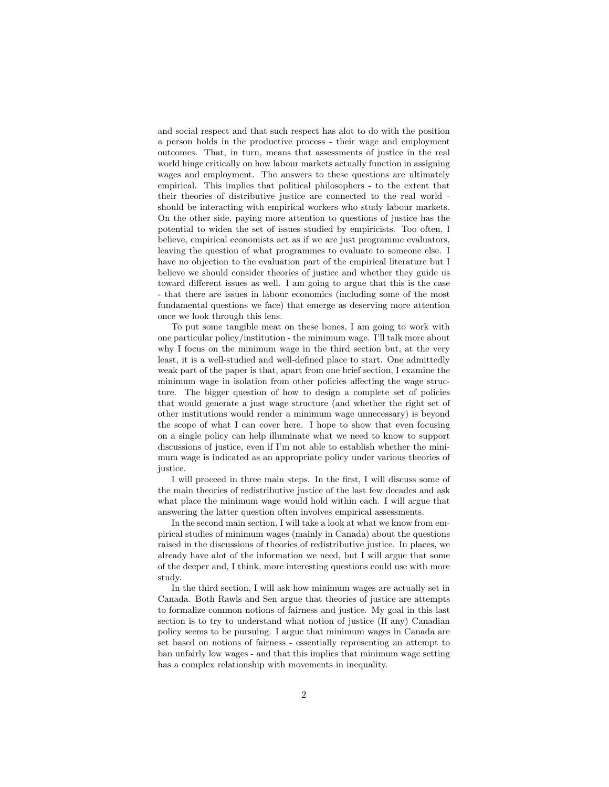and social respect and that such respect has alot to do with the position a person holds in the productive process - their wage and employment outcomes. That, in turn, means that assessments of justice in the real world hinge critically on how labour markets actually function in assigning wages and employment. The answers to these questions are ultimately empirical. This implies that political philosophers - to the extent that their theories of distributive justice are connected to the real world should be interacting with empirical workers who study labour markets. On the other side, paying more attention to questions of justice has the potential to widen the set of issues studied by empiricists. Too often, I believe, empirical economists act as if we are just programme evaluators, leaving the question of what programmes to evaluate to someone else. I have no objection to the evaluation part of the empirical literature but I believe we should consider theories of justice and whether they guide us toward different issues as well. I am going to argue that this is the case - that there are issues in labour economics (including some of the most fundamental questions we face) that emerge as deserving more attention once we look through this lens.

To put some tangible meat on these bones, I am going to work with one particular policy/institution - the minimum wage. I'll talk more about why I focus on the minimum wage in the third section but, at the very least, it is a well-studied and well-defined place to start. One admittedly weak part of the paper is that, apart from one brief section, I examine the minimum wage in isolation from other policies affecting the wage structure. The bigger question of how to design a complete set of policies that would generate a just wage structure (and whether the right set of other institutions would render a minimum wage unnecessary) is beyond the scope of what I can cover here. I hope to show that even focusing on a single policy can help illuminate what we need to know to support discussions of justice, even if I'm not able to establish whether the minimum wage is indicated as an appropriate policy under various theories of justice.

I will proceed in three main steps. In the first, I will discuss some of the main theories of redistributive justice of the last few decades and ask what place the minimum wage would hold within each. I will argue that answering the latter question often involves empirical assessments.

In the second main section, I will take a look at what we know from empirical studies of minimum wages (mainly in Canada) about the questions raised in the discussions of theories of redistributive justice. In places, we already have alot of the information we need, but I will argue that some of the deeper and, I think, more interesting questions could use with more study.

In the third section, I will ask how minimum wages are actually set in Canada. Both Rawls and Sen argue that theories of justice are attempts to formalize common notions of fairness and justice. My goal in this last section is to try to understand what notion of justice (If any) Canadian policy seems to be pursuing. I argue that minimum wages in Canada are set based on notions of fairness - essentially representing an attempt to ban unfairly low wages - and that this implies that minimum wage setting has a complex relationship with movements in inequality.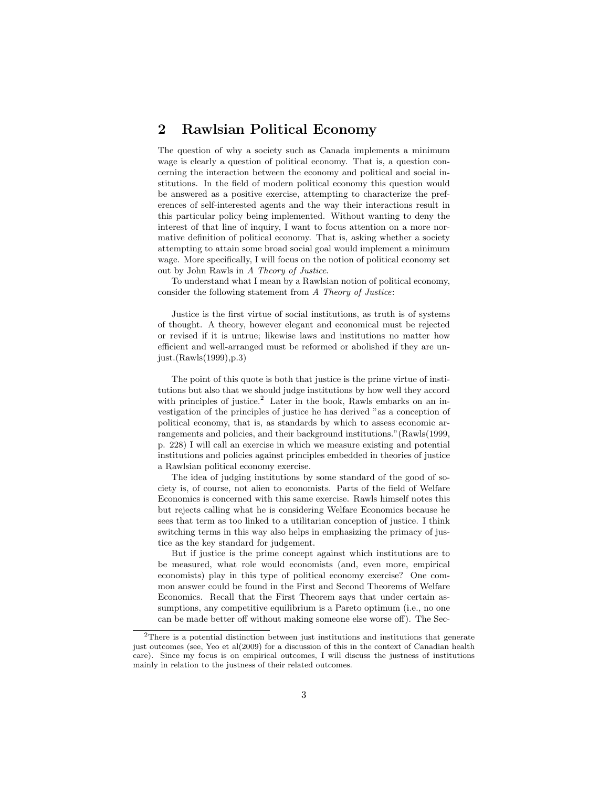## 2 Rawlsian Political Economy

The question of why a society such as Canada implements a minimum wage is clearly a question of political economy. That is, a question concerning the interaction between the economy and political and social institutions. In the field of modern political economy this question would be answered as a positive exercise, attempting to characterize the preferences of self-interested agents and the way their interactions result in this particular policy being implemented. Without wanting to deny the interest of that line of inquiry, I want to focus attention on a more normative definition of political economy. That is, asking whether a society attempting to attain some broad social goal would implement a minimum wage. More specifically, I will focus on the notion of political economy set out by John Rawls in A Theory of Justice.

To understand what I mean by a Rawlsian notion of political economy, consider the following statement from A Theory of Justice:

Justice is the first virtue of social institutions, as truth is of systems of thought. A theory, however elegant and economical must be rejected or revised if it is untrue; likewise laws and institutions no matter how efficient and well-arranged must be reformed or abolished if they are unjust.(Rawls(1999),p.3)

The point of this quote is both that justice is the prime virtue of institutions but also that we should judge institutions by how well they accord with principles of justice.<sup>2</sup> Later in the book, Rawls embarks on an investigation of the principles of justice he has derived "as a conception of political economy, that is, as standards by which to assess economic arrangements and policies, and their background institutions."(Rawls(1999, p. 228) I will call an exercise in which we measure existing and potential institutions and policies against principles embedded in theories of justice a Rawlsian political economy exercise.

The idea of judging institutions by some standard of the good of society is, of course, not alien to economists. Parts of the field of Welfare Economics is concerned with this same exercise. Rawls himself notes this but rejects calling what he is considering Welfare Economics because he sees that term as too linked to a utilitarian conception of justice. I think switching terms in this way also helps in emphasizing the primacy of justice as the key standard for judgement.

But if justice is the prime concept against which institutions are to be measured, what role would economists (and, even more, empirical economists) play in this type of political economy exercise? One common answer could be found in the First and Second Theorems of Welfare Economics. Recall that the First Theorem says that under certain assumptions, any competitive equilibrium is a Pareto optimum (i.e., no one can be made better off without making someone else worse off). The Sec-

<sup>2</sup>There is a potential distinction between just institutions and institutions that generate just outcomes (see, Yeo et al(2009) for a discussion of this in the context of Canadian health care). Since my focus is on empirical outcomes, I will discuss the justness of institutions mainly in relation to the justness of their related outcomes.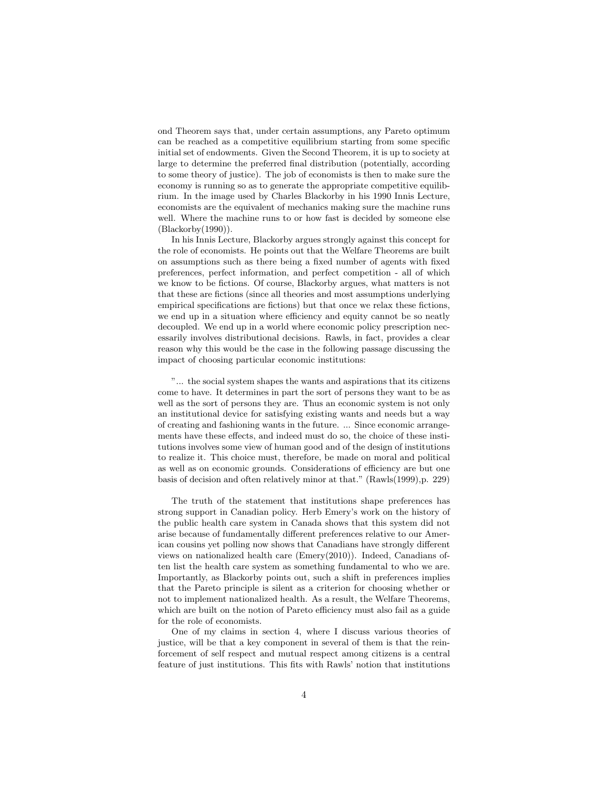ond Theorem says that, under certain assumptions, any Pareto optimum can be reached as a competitive equilibrium starting from some specific initial set of endowments. Given the Second Theorem, it is up to society at large to determine the preferred final distribution (potentially, according to some theory of justice). The job of economists is then to make sure the economy is running so as to generate the appropriate competitive equilibrium. In the image used by Charles Blackorby in his 1990 Innis Lecture, economists are the equivalent of mechanics making sure the machine runs well. Where the machine runs to or how fast is decided by someone else (Blackorby(1990)).

In his Innis Lecture, Blackorby argues strongly against this concept for the role of economists. He points out that the Welfare Theorems are built on assumptions such as there being a fixed number of agents with fixed preferences, perfect information, and perfect competition - all of which we know to be fictions. Of course, Blackorby argues, what matters is not that these are fictions (since all theories and most assumptions underlying empirical specifications are fictions) but that once we relax these fictions, we end up in a situation where efficiency and equity cannot be so neatly decoupled. We end up in a world where economic policy prescription necessarily involves distributional decisions. Rawls, in fact, provides a clear reason why this would be the case in the following passage discussing the impact of choosing particular economic institutions:

"... the social system shapes the wants and aspirations that its citizens come to have. It determines in part the sort of persons they want to be as well as the sort of persons they are. Thus an economic system is not only an institutional device for satisfying existing wants and needs but a way of creating and fashioning wants in the future. ... Since economic arrangements have these effects, and indeed must do so, the choice of these institutions involves some view of human good and of the design of institutions to realize it. This choice must, therefore, be made on moral and political as well as on economic grounds. Considerations of efficiency are but one basis of decision and often relatively minor at that." (Rawls(1999),p. 229)

The truth of the statement that institutions shape preferences has strong support in Canadian policy. Herb Emery's work on the history of the public health care system in Canada shows that this system did not arise because of fundamentally different preferences relative to our American cousins yet polling now shows that Canadians have strongly different views on nationalized health care (Emery(2010)). Indeed, Canadians often list the health care system as something fundamental to who we are. Importantly, as Blackorby points out, such a shift in preferences implies that the Pareto principle is silent as a criterion for choosing whether or not to implement nationalized health. As a result, the Welfare Theorems, which are built on the notion of Pareto efficiency must also fail as a guide for the role of economists.

One of my claims in section 4, where I discuss various theories of justice, will be that a key component in several of them is that the reinforcement of self respect and mutual respect among citizens is a central feature of just institutions. This fits with Rawls' notion that institutions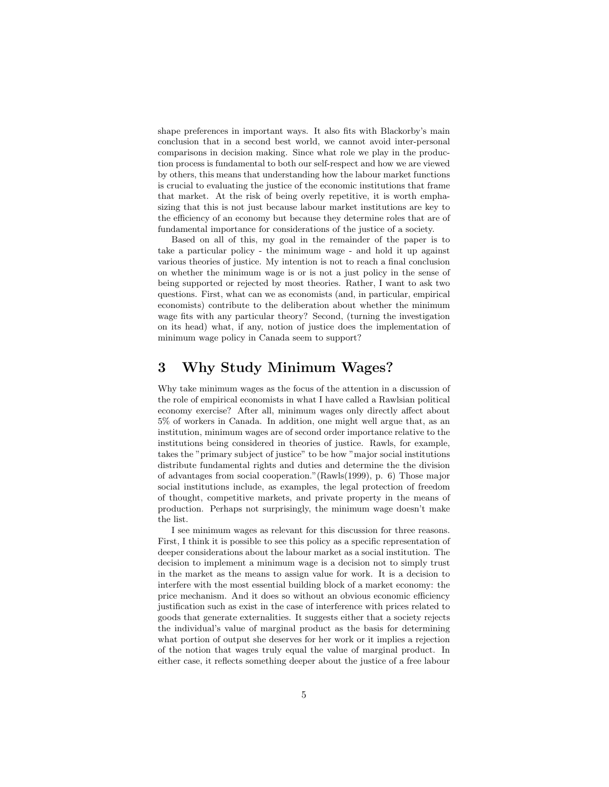shape preferences in important ways. It also fits with Blackorby's main conclusion that in a second best world, we cannot avoid inter-personal comparisons in decision making. Since what role we play in the production process is fundamental to both our self-respect and how we are viewed by others, this means that understanding how the labour market functions is crucial to evaluating the justice of the economic institutions that frame that market. At the risk of being overly repetitive, it is worth emphasizing that this is not just because labour market institutions are key to the efficiency of an economy but because they determine roles that are of fundamental importance for considerations of the justice of a society.

Based on all of this, my goal in the remainder of the paper is to take a particular policy - the minimum wage - and hold it up against various theories of justice. My intention is not to reach a final conclusion on whether the minimum wage is or is not a just policy in the sense of being supported or rejected by most theories. Rather, I want to ask two questions. First, what can we as economists (and, in particular, empirical economists) contribute to the deliberation about whether the minimum wage fits with any particular theory? Second, (turning the investigation on its head) what, if any, notion of justice does the implementation of minimum wage policy in Canada seem to support?

## 3 Why Study Minimum Wages?

Why take minimum wages as the focus of the attention in a discussion of the role of empirical economists in what I have called a Rawlsian political economy exercise? After all, minimum wages only directly affect about 5% of workers in Canada. In addition, one might well argue that, as an institution, minimum wages are of second order importance relative to the institutions being considered in theories of justice. Rawls, for example, takes the "primary subject of justice" to be how "major social institutions distribute fundamental rights and duties and determine the the division of advantages from social cooperation."(Rawls(1999), p. 6) Those major social institutions include, as examples, the legal protection of freedom of thought, competitive markets, and private property in the means of production. Perhaps not surprisingly, the minimum wage doesn't make the list.

I see minimum wages as relevant for this discussion for three reasons. First, I think it is possible to see this policy as a specific representation of deeper considerations about the labour market as a social institution. The decision to implement a minimum wage is a decision not to simply trust in the market as the means to assign value for work. It is a decision to interfere with the most essential building block of a market economy: the price mechanism. And it does so without an obvious economic efficiency justification such as exist in the case of interference with prices related to goods that generate externalities. It suggests either that a society rejects the individual's value of marginal product as the basis for determining what portion of output she deserves for her work or it implies a rejection of the notion that wages truly equal the value of marginal product. In either case, it reflects something deeper about the justice of a free labour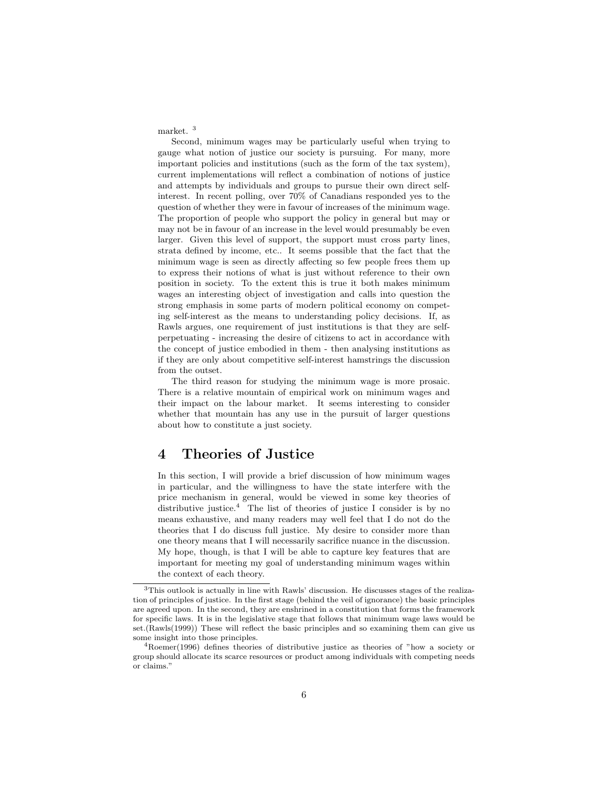market.<sup>3</sup>

Second, minimum wages may be particularly useful when trying to gauge what notion of justice our society is pursuing. For many, more important policies and institutions (such as the form of the tax system), current implementations will reflect a combination of notions of justice and attempts by individuals and groups to pursue their own direct selfinterest. In recent polling, over 70% of Canadians responded yes to the question of whether they were in favour of increases of the minimum wage. The proportion of people who support the policy in general but may or may not be in favour of an increase in the level would presumably be even larger. Given this level of support, the support must cross party lines, strata defined by income, etc.. It seems possible that the fact that the minimum wage is seen as directly affecting so few people frees them up to express their notions of what is just without reference to their own position in society. To the extent this is true it both makes minimum wages an interesting object of investigation and calls into question the strong emphasis in some parts of modern political economy on competing self-interest as the means to understanding policy decisions. If, as Rawls argues, one requirement of just institutions is that they are selfperpetuating - increasing the desire of citizens to act in accordance with the concept of justice embodied in them - then analysing institutions as if they are only about competitive self-interest hamstrings the discussion from the outset.

The third reason for studying the minimum wage is more prosaic. There is a relative mountain of empirical work on minimum wages and their impact on the labour market. It seems interesting to consider whether that mountain has any use in the pursuit of larger questions about how to constitute a just society.

## 4 Theories of Justice

In this section, I will provide a brief discussion of how minimum wages in particular, and the willingness to have the state interfere with the price mechanism in general, would be viewed in some key theories of distributive justice. $4$  The list of theories of justice I consider is by no means exhaustive, and many readers may well feel that I do not do the theories that I do discuss full justice. My desire to consider more than one theory means that I will necessarily sacrifice nuance in the discussion. My hope, though, is that I will be able to capture key features that are important for meeting my goal of understanding minimum wages within the context of each theory.

<sup>&</sup>lt;sup>3</sup>This outlook is actually in line with Rawls' discussion. He discusses stages of the realization of principles of justice. In the first stage (behind the veil of ignorance) the basic principles are agreed upon. In the second, they are enshrined in a constitution that forms the framework for specific laws. It is in the legislative stage that follows that minimum wage laws would be set.(Rawls(1999)) These will reflect the basic principles and so examining them can give us some insight into those principles.

<sup>4</sup>Roemer(1996) defines theories of distributive justice as theories of "how a society or group should allocate its scarce resources or product among individuals with competing needs or claims."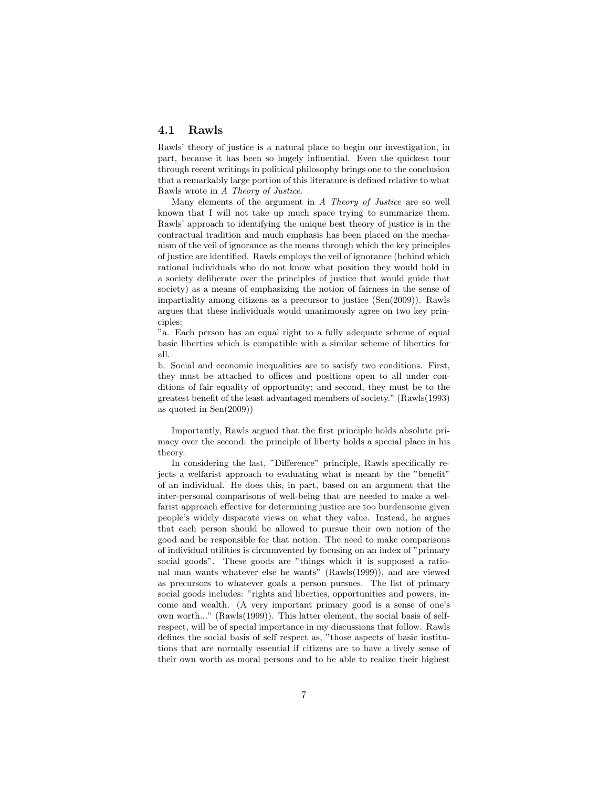#### 4.1 Rawls

Rawls' theory of justice is a natural place to begin our investigation, in part, because it has been so hugely influential. Even the quickest tour through recent writings in political philosophy brings one to the conclusion that a remarkably large portion of this literature is defined relative to what Rawls wrote in A Theory of Justice.

Many elements of the argument in A Theory of Justice are so well known that I will not take up much space trying to summarize them. Rawls' approach to identifying the unique best theory of justice is in the contractual tradition and much emphasis has been placed on the mechanism of the veil of ignorance as the means through which the key principles of justice are identified. Rawls employs the veil of ignorance (behind which rational individuals who do not know what position they would hold in a society deliberate over the principles of justice that would guide that society) as a means of emphasizing the notion of fairness in the sense of impartiality among citizens as a precursor to justice (Sen(2009)). Rawls argues that these individuals would unanimously agree on two key principles:

"a. Each person has an equal right to a fully adequate scheme of equal basic liberties which is compatible with a similar scheme of liberties for all.

b. Social and economic inequalities are to satisfy two conditions. First, they must be attached to offices and positions open to all under conditions of fair equality of opportunity; and second, they must be to the greatest benefit of the least advantaged members of society." (Rawls(1993) as quoted in Sen(2009))

Importantly, Rawls argued that the first principle holds absolute primacy over the second: the principle of liberty holds a special place in his theory.

In considering the last, "Difference" principle, Rawls specifically rejects a welfarist approach to evaluating what is meant by the "benefit" of an individual. He does this, in part, based on an argument that the inter-personal comparisons of well-being that are needed to make a welfarist approach effective for determining justice are too burdensome given people's widely disparate views on what they value. Instead, he argues that each person should be allowed to pursue their own notion of the good and be responsible for that notion. The need to make comparisons of individual utilities is circumvented by focusing on an index of "primary social goods". These goods are "things which it is supposed a rational man wants whatever else he wants" (Rawls(1999)), and are viewed as precursors to whatever goals a person pursues. The list of primary social goods includes: "rights and liberties, opportunities and powers, income and wealth. (A very important primary good is a sense of one's own worth..." (Rawls(1999)). This latter element, the social basis of selfrespect, will be of special importance in my discussions that follow. Rawls defines the social basis of self respect as, "those aspects of basic institutions that are normally essential if citizens are to have a lively sense of their own worth as moral persons and to be able to realize their highest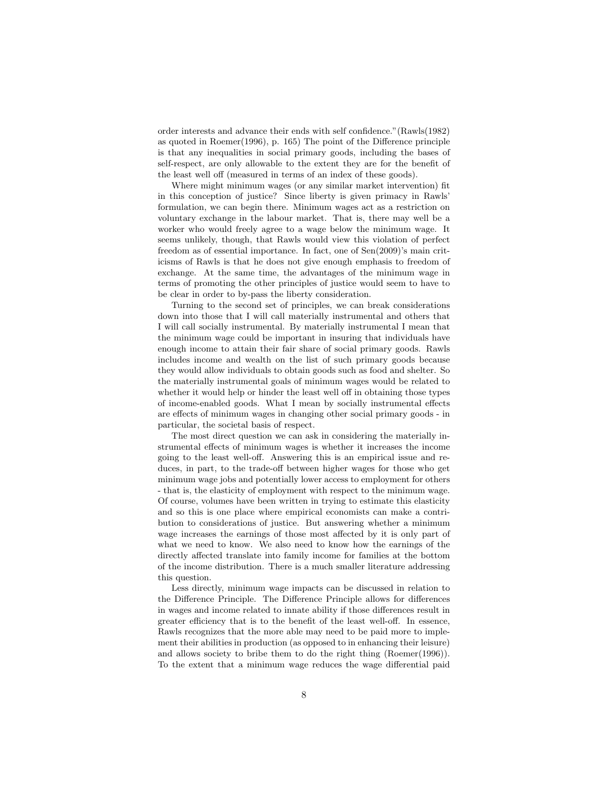order interests and advance their ends with self confidence."(Rawls(1982) as quoted in Roemer(1996), p. 165) The point of the Difference principle is that any inequalities in social primary goods, including the bases of self-respect, are only allowable to the extent they are for the benefit of the least well off (measured in terms of an index of these goods).

Where might minimum wages (or any similar market intervention) fit in this conception of justice? Since liberty is given primacy in Rawls' formulation, we can begin there. Minimum wages act as a restriction on voluntary exchange in the labour market. That is, there may well be a worker who would freely agree to a wage below the minimum wage. It seems unlikely, though, that Rawls would view this violation of perfect freedom as of essential importance. In fact, one of Sen(2009)'s main criticisms of Rawls is that he does not give enough emphasis to freedom of exchange. At the same time, the advantages of the minimum wage in terms of promoting the other principles of justice would seem to have to be clear in order to by-pass the liberty consideration.

Turning to the second set of principles, we can break considerations down into those that I will call materially instrumental and others that I will call socially instrumental. By materially instrumental I mean that the minimum wage could be important in insuring that individuals have enough income to attain their fair share of social primary goods. Rawls includes income and wealth on the list of such primary goods because they would allow individuals to obtain goods such as food and shelter. So the materially instrumental goals of minimum wages would be related to whether it would help or hinder the least well off in obtaining those types of income-enabled goods. What I mean by socially instrumental effects are effects of minimum wages in changing other social primary goods - in particular, the societal basis of respect.

The most direct question we can ask in considering the materially instrumental effects of minimum wages is whether it increases the income going to the least well-off. Answering this is an empirical issue and reduces, in part, to the trade-off between higher wages for those who get minimum wage jobs and potentially lower access to employment for others - that is, the elasticity of employment with respect to the minimum wage. Of course, volumes have been written in trying to estimate this elasticity and so this is one place where empirical economists can make a contribution to considerations of justice. But answering whether a minimum wage increases the earnings of those most affected by it is only part of what we need to know. We also need to know how the earnings of the directly affected translate into family income for families at the bottom of the income distribution. There is a much smaller literature addressing this question.

Less directly, minimum wage impacts can be discussed in relation to the Difference Principle. The Difference Principle allows for differences in wages and income related to innate ability if those differences result in greater efficiency that is to the benefit of the least well-off. In essence, Rawls recognizes that the more able may need to be paid more to implement their abilities in production (as opposed to in enhancing their leisure) and allows society to bribe them to do the right thing (Roemer(1996)). To the extent that a minimum wage reduces the wage differential paid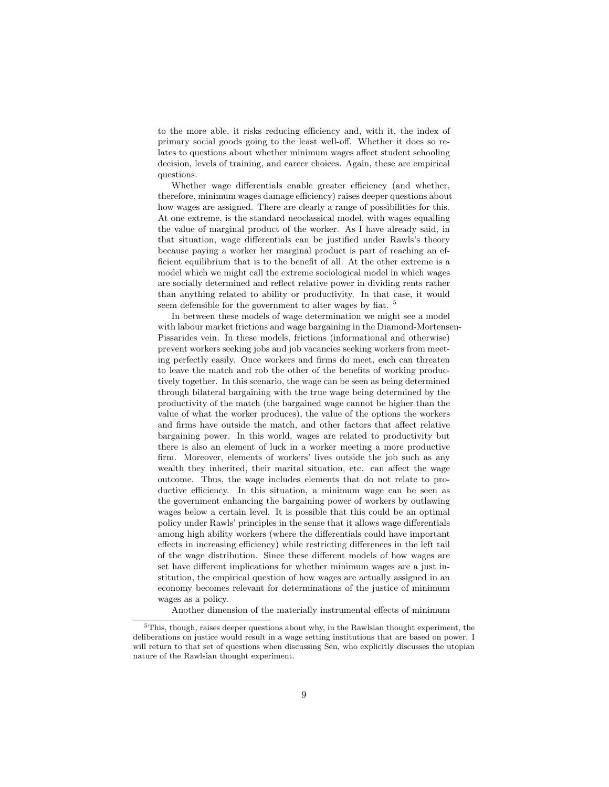to the more able, it risks reducing efficiency and, with it, the index of primary social goods going to the least well-off. Whether it does so relates to questions about whether minimum wages affect student schooling decision, levels of training, and career choices. Again, these are empirical questions.

Whether wage differentials enable greater efficiency (and whether, therefore, minimum wages damage efficiency) raises deeper questions about how wages are assigned. There are clearly a range of possibilities for this. At one extreme, is the standard neoclassical model, with wages equalling the value of marginal product of the worker. As I have already said, in that situation, wage differentials can be justified under Rawls's theory because paying a worker her marginal product is part of reaching an efficient equilibrium that is to the benefit of all. At the other extreme is a model which we might call the extreme sociological model in which wages are socially determined and reflect relative power in dividing rents rather than anything related to ability or productivity. In that case, it would seem defensible for the government to alter wages by fiat.

In between these models of wage determination we might see a model with labour market frictions and wage bargaining in the Diamond-Mortensen-Pissarides vein. In these models, frictions (informational and otherwise) prevent workers seeking jobs and job vacancies seeking workers from meeting perfectly easily. Once workers and firms do meet, each can threaten to leave the match and rob the other of the benefits of working productively together. In this scenario, the wage can be seen as being determined through bilateral bargaining with the true wage being determined by the productivity of the match (the bargained wage cannot be higher than the value of what the worker produces), the value of the options the workers and firms have outside the match, and other factors that affect relative bargaining power. In this world, wages are related to productivity but there is also an element of luck in a worker meeting a more productive firm. Moreover, elements of workers' lives outside the job such as any wealth they inherited, their marital situation, etc. can affect the wage outcome. Thus, the wage includes elements that do not relate to productive efficiency. In this situation, a minimum wage can be seen as the government enhancing the bargaining power of workers by outlawing wages below a certain level. It is possible that this could be an optimal policy under Rawls' principles in the sense that it allows wage differentials among high ability workers (where the differentials could have important effects in increasing efficiency) while restricting differences in the left tail of the wage distribution. Since these different models of how wages are set have different implications for whether minimum wages are a just institution, the empirical question of how wages are actually assigned in an economy becomes relevant for determinations of the justice of minimum wages as a policy.

Another dimension of the materially instrumental effects of minimum

 $5$ This, though, raises deeper questions about why, in the Rawlsian thought experiment, the deliberations on justice would result in a wage setting institutions that are based on power. I will return to that set of questions when discussing Sen, who explicitly discusses the utopian nature of the Rawlsian thought experiment.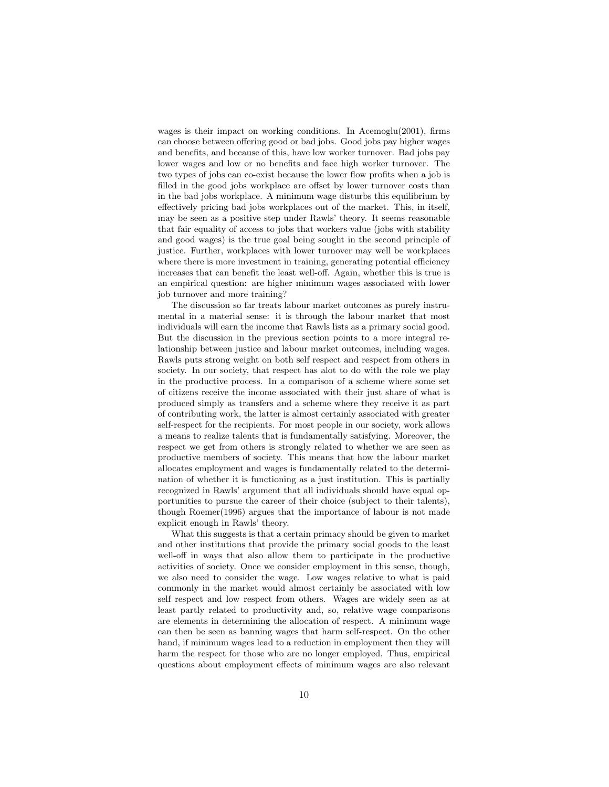wages is their impact on working conditions. In Acemoglu(2001), firms can choose between offering good or bad jobs. Good jobs pay higher wages and benefits, and because of this, have low worker turnover. Bad jobs pay lower wages and low or no benefits and face high worker turnover. The two types of jobs can co-exist because the lower flow profits when a job is filled in the good jobs workplace are offset by lower turnover costs than in the bad jobs workplace. A minimum wage disturbs this equilibrium by effectively pricing bad jobs workplaces out of the market. This, in itself, may be seen as a positive step under Rawls' theory. It seems reasonable that fair equality of access to jobs that workers value (jobs with stability and good wages) is the true goal being sought in the second principle of justice. Further, workplaces with lower turnover may well be workplaces where there is more investment in training, generating potential efficiency increases that can benefit the least well-off. Again, whether this is true is an empirical question: are higher minimum wages associated with lower job turnover and more training?

The discussion so far treats labour market outcomes as purely instrumental in a material sense: it is through the labour market that most individuals will earn the income that Rawls lists as a primary social good. But the discussion in the previous section points to a more integral relationship between justice and labour market outcomes, including wages. Rawls puts strong weight on both self respect and respect from others in society. In our society, that respect has alot to do with the role we play in the productive process. In a comparison of a scheme where some set of citizens receive the income associated with their just share of what is produced simply as transfers and a scheme where they receive it as part of contributing work, the latter is almost certainly associated with greater self-respect for the recipients. For most people in our society, work allows a means to realize talents that is fundamentally satisfying. Moreover, the respect we get from others is strongly related to whether we are seen as productive members of society. This means that how the labour market allocates employment and wages is fundamentally related to the determination of whether it is functioning as a just institution. This is partially recognized in Rawls' argument that all individuals should have equal opportunities to pursue the career of their choice (subject to their talents), though Roemer(1996) argues that the importance of labour is not made explicit enough in Rawls' theory.

What this suggests is that a certain primacy should be given to market and other institutions that provide the primary social goods to the least well-off in ways that also allow them to participate in the productive activities of society. Once we consider employment in this sense, though, we also need to consider the wage. Low wages relative to what is paid commonly in the market would almost certainly be associated with low self respect and low respect from others. Wages are widely seen as at least partly related to productivity and, so, relative wage comparisons are elements in determining the allocation of respect. A minimum wage can then be seen as banning wages that harm self-respect. On the other hand, if minimum wages lead to a reduction in employment then they will harm the respect for those who are no longer employed. Thus, empirical questions about employment effects of minimum wages are also relevant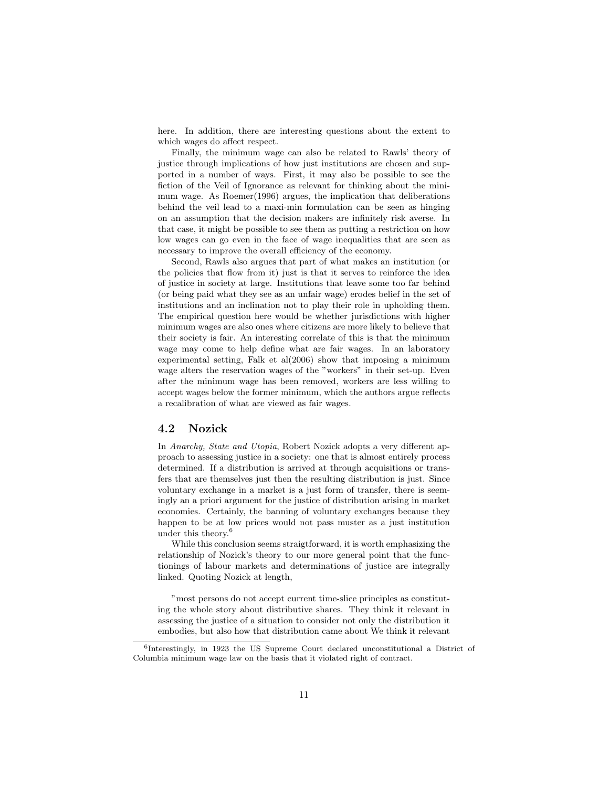here. In addition, there are interesting questions about the extent to which wages do affect respect.

Finally, the minimum wage can also be related to Rawls' theory of justice through implications of how just institutions are chosen and supported in a number of ways. First, it may also be possible to see the fiction of the Veil of Ignorance as relevant for thinking about the minimum wage. As Roemer(1996) argues, the implication that deliberations behind the veil lead to a maxi-min formulation can be seen as hinging on an assumption that the decision makers are infinitely risk averse. In that case, it might be possible to see them as putting a restriction on how low wages can go even in the face of wage inequalities that are seen as necessary to improve the overall efficiency of the economy.

Second, Rawls also argues that part of what makes an institution (or the policies that flow from it) just is that it serves to reinforce the idea of justice in society at large. Institutions that leave some too far behind (or being paid what they see as an unfair wage) erodes belief in the set of institutions and an inclination not to play their role in upholding them. The empirical question here would be whether jurisdictions with higher minimum wages are also ones where citizens are more likely to believe that their society is fair. An interesting correlate of this is that the minimum wage may come to help define what are fair wages. In an laboratory experimental setting, Falk et al(2006) show that imposing a minimum wage alters the reservation wages of the "workers" in their set-up. Even after the minimum wage has been removed, workers are less willing to accept wages below the former minimum, which the authors argue reflects a recalibration of what are viewed as fair wages.

#### 4.2 Nozick

In Anarchy, State and Utopia, Robert Nozick adopts a very different approach to assessing justice in a society: one that is almost entirely process determined. If a distribution is arrived at through acquisitions or transfers that are themselves just then the resulting distribution is just. Since voluntary exchange in a market is a just form of transfer, there is seemingly an a priori argument for the justice of distribution arising in market economies. Certainly, the banning of voluntary exchanges because they happen to be at low prices would not pass muster as a just institution under this theory.<sup>6</sup>

While this conclusion seems straigtforward, it is worth emphasizing the relationship of Nozick's theory to our more general point that the functionings of labour markets and determinations of justice are integrally linked. Quoting Nozick at length,

"most persons do not accept current time-slice principles as constituting the whole story about distributive shares. They think it relevant in assessing the justice of a situation to consider not only the distribution it embodies, but also how that distribution came about We think it relevant

<sup>6</sup> Interestingly, in 1923 the US Supreme Court declared unconstitutional a District of Columbia minimum wage law on the basis that it violated right of contract.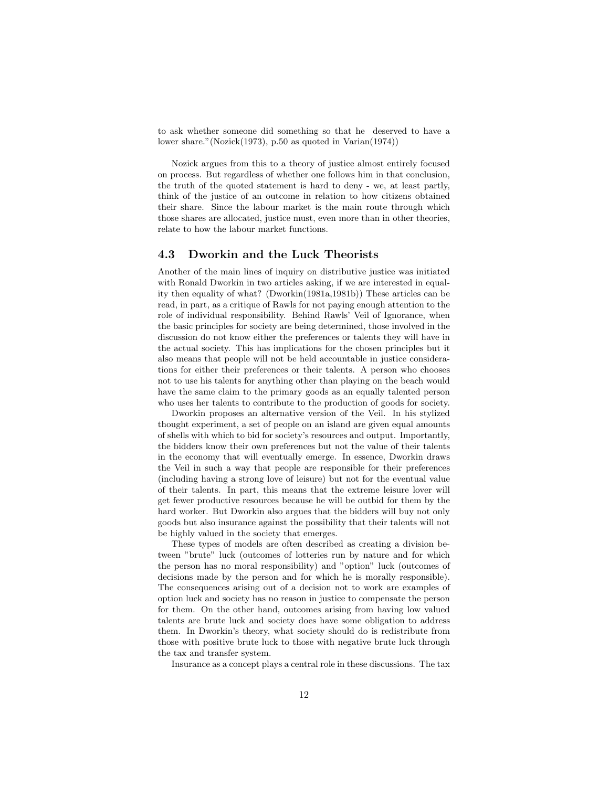to ask whether someone did something so that he deserved to have a lower share."(Nozick(1973), p.50 as quoted in Varian(1974))

Nozick argues from this to a theory of justice almost entirely focused on process. But regardless of whether one follows him in that conclusion, the truth of the quoted statement is hard to deny - we, at least partly, think of the justice of an outcome in relation to how citizens obtained their share. Since the labour market is the main route through which those shares are allocated, justice must, even more than in other theories, relate to how the labour market functions.

#### 4.3 Dworkin and the Luck Theorists

Another of the main lines of inquiry on distributive justice was initiated with Ronald Dworkin in two articles asking, if we are interested in equality then equality of what? (Dworkin(1981a,1981b)) These articles can be read, in part, as a critique of Rawls for not paying enough attention to the role of individual responsibility. Behind Rawls' Veil of Ignorance, when the basic principles for society are being determined, those involved in the discussion do not know either the preferences or talents they will have in the actual society. This has implications for the chosen principles but it also means that people will not be held accountable in justice considerations for either their preferences or their talents. A person who chooses not to use his talents for anything other than playing on the beach would have the same claim to the primary goods as an equally talented person who uses her talents to contribute to the production of goods for society.

Dworkin proposes an alternative version of the Veil. In his stylized thought experiment, a set of people on an island are given equal amounts of shells with which to bid for society's resources and output. Importantly, the bidders know their own preferences but not the value of their talents in the economy that will eventually emerge. In essence, Dworkin draws the Veil in such a way that people are responsible for their preferences (including having a strong love of leisure) but not for the eventual value of their talents. In part, this means that the extreme leisure lover will get fewer productive resources because he will be outbid for them by the hard worker. But Dworkin also argues that the bidders will buy not only goods but also insurance against the possibility that their talents will not be highly valued in the society that emerges.

These types of models are often described as creating a division between "brute" luck (outcomes of lotteries run by nature and for which the person has no moral responsibility) and "option" luck (outcomes of decisions made by the person and for which he is morally responsible). The consequences arising out of a decision not to work are examples of option luck and society has no reason in justice to compensate the person for them. On the other hand, outcomes arising from having low valued talents are brute luck and society does have some obligation to address them. In Dworkin's theory, what society should do is redistribute from those with positive brute luck to those with negative brute luck through the tax and transfer system.

Insurance as a concept plays a central role in these discussions. The tax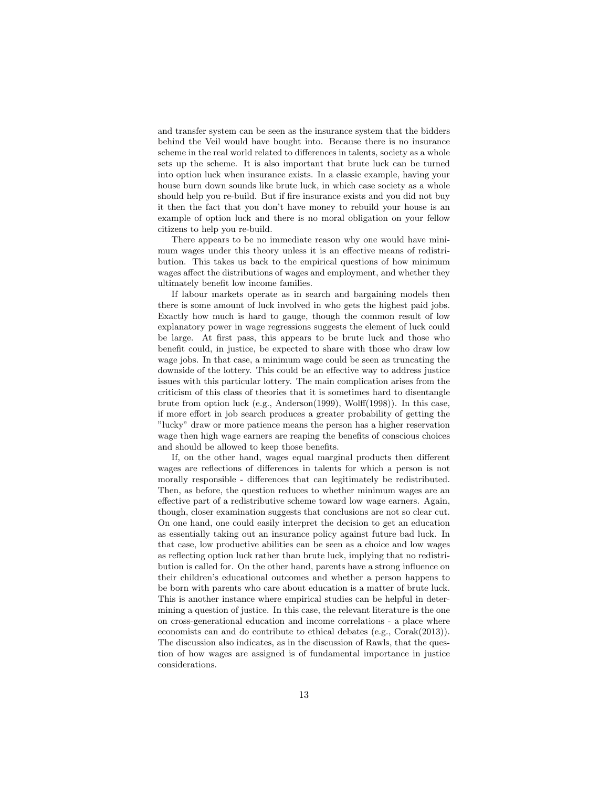and transfer system can be seen as the insurance system that the bidders behind the Veil would have bought into. Because there is no insurance scheme in the real world related to differences in talents, society as a whole sets up the scheme. It is also important that brute luck can be turned into option luck when insurance exists. In a classic example, having your house burn down sounds like brute luck, in which case society as a whole should help you re-build. But if fire insurance exists and you did not buy it then the fact that you don't have money to rebuild your house is an example of option luck and there is no moral obligation on your fellow citizens to help you re-build.

There appears to be no immediate reason why one would have minimum wages under this theory unless it is an effective means of redistribution. This takes us back to the empirical questions of how minimum wages affect the distributions of wages and employment, and whether they ultimately benefit low income families.

If labour markets operate as in search and bargaining models then there is some amount of luck involved in who gets the highest paid jobs. Exactly how much is hard to gauge, though the common result of low explanatory power in wage regressions suggests the element of luck could be large. At first pass, this appears to be brute luck and those who benefit could, in justice, be expected to share with those who draw low wage jobs. In that case, a minimum wage could be seen as truncating the downside of the lottery. This could be an effective way to address justice issues with this particular lottery. The main complication arises from the criticism of this class of theories that it is sometimes hard to disentangle brute from option luck (e.g., Anderson(1999), Wolff(1998)). In this case, if more effort in job search produces a greater probability of getting the "lucky" draw or more patience means the person has a higher reservation wage then high wage earners are reaping the benefits of conscious choices and should be allowed to keep those benefits.

If, on the other hand, wages equal marginal products then different wages are reflections of differences in talents for which a person is not morally responsible - differences that can legitimately be redistributed. Then, as before, the question reduces to whether minimum wages are an effective part of a redistributive scheme toward low wage earners. Again, though, closer examination suggests that conclusions are not so clear cut. On one hand, one could easily interpret the decision to get an education as essentially taking out an insurance policy against future bad luck. In that case, low productive abilities can be seen as a choice and low wages as reflecting option luck rather than brute luck, implying that no redistribution is called for. On the other hand, parents have a strong influence on their children's educational outcomes and whether a person happens to be born with parents who care about education is a matter of brute luck. This is another instance where empirical studies can be helpful in determining a question of justice. In this case, the relevant literature is the one on cross-generational education and income correlations - a place where economists can and do contribute to ethical debates (e.g., Corak(2013)). The discussion also indicates, as in the discussion of Rawls, that the question of how wages are assigned is of fundamental importance in justice considerations.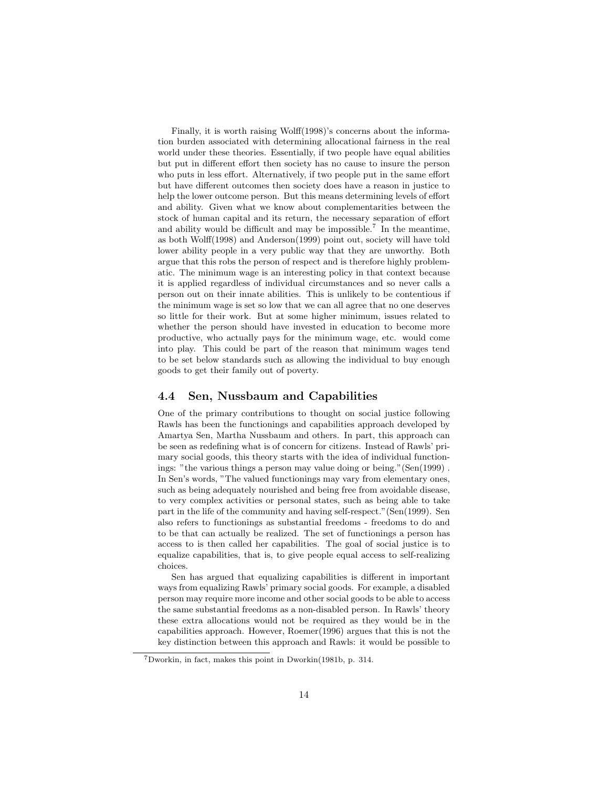Finally, it is worth raising Wolff(1998)'s concerns about the information burden associated with determining allocational fairness in the real world under these theories. Essentially, if two people have equal abilities but put in different effort then society has no cause to insure the person who puts in less effort. Alternatively, if two people put in the same effort but have different outcomes then society does have a reason in justice to help the lower outcome person. But this means determining levels of effort and ability. Given what we know about complementarities between the stock of human capital and its return, the necessary separation of effort and ability would be difficult and may be impossible.<sup>7</sup> In the meantime, as both Wolff(1998) and Anderson(1999) point out, society will have told lower ability people in a very public way that they are unworthy. Both argue that this robs the person of respect and is therefore highly problematic. The minimum wage is an interesting policy in that context because it is applied regardless of individual circumstances and so never calls a person out on their innate abilities. This is unlikely to be contentious if the minimum wage is set so low that we can all agree that no one deserves so little for their work. But at some higher minimum, issues related to whether the person should have invested in education to become more productive, who actually pays for the minimum wage, etc. would come into play. This could be part of the reason that minimum wages tend to be set below standards such as allowing the individual to buy enough goods to get their family out of poverty.

#### 4.4 Sen, Nussbaum and Capabilities

One of the primary contributions to thought on social justice following Rawls has been the functionings and capabilities approach developed by Amartya Sen, Martha Nussbaum and others. In part, this approach can be seen as redefining what is of concern for citizens. Instead of Rawls' primary social goods, this theory starts with the idea of individual functionings: "the various things a person may value doing or being."(Sen(1999) . In Sen's words, "The valued functionings may vary from elementary ones, such as being adequately nourished and being free from avoidable disease, to very complex activities or personal states, such as being able to take part in the life of the community and having self-respect."(Sen(1999). Sen also refers to functionings as substantial freedoms - freedoms to do and to be that can actually be realized. The set of functionings a person has access to is then called her capabilities. The goal of social justice is to equalize capabilities, that is, to give people equal access to self-realizing choices.

Sen has argued that equalizing capabilities is different in important ways from equalizing Rawls' primary social goods. For example, a disabled person may require more income and other social goods to be able to access the same substantial freedoms as a non-disabled person. In Rawls' theory these extra allocations would not be required as they would be in the capabilities approach. However, Roemer(1996) argues that this is not the key distinction between this approach and Rawls: it would be possible to

<sup>7</sup>Dworkin, in fact, makes this point in Dworkin(1981b, p. 314.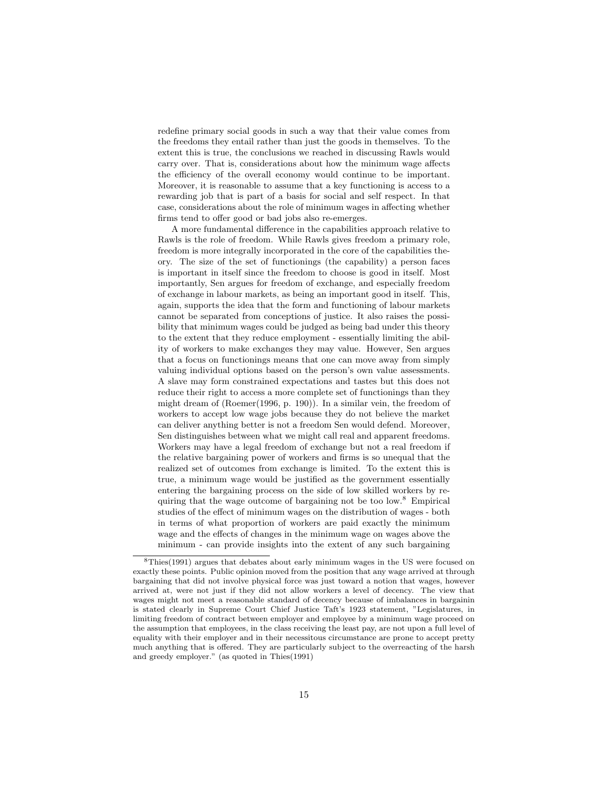redefine primary social goods in such a way that their value comes from the freedoms they entail rather than just the goods in themselves. To the extent this is true, the conclusions we reached in discussing Rawls would carry over. That is, considerations about how the minimum wage affects the efficiency of the overall economy would continue to be important. Moreover, it is reasonable to assume that a key functioning is access to a rewarding job that is part of a basis for social and self respect. In that case, considerations about the role of minimum wages in affecting whether firms tend to offer good or bad jobs also re-emerges.

A more fundamental difference in the capabilities approach relative to Rawls is the role of freedom. While Rawls gives freedom a primary role, freedom is more integrally incorporated in the core of the capabilities theory. The size of the set of functionings (the capability) a person faces is important in itself since the freedom to choose is good in itself. Most importantly, Sen argues for freedom of exchange, and especially freedom of exchange in labour markets, as being an important good in itself. This, again, supports the idea that the form and functioning of labour markets cannot be separated from conceptions of justice. It also raises the possibility that minimum wages could be judged as being bad under this theory to the extent that they reduce employment - essentially limiting the ability of workers to make exchanges they may value. However, Sen argues that a focus on functionings means that one can move away from simply valuing individual options based on the person's own value assessments. A slave may form constrained expectations and tastes but this does not reduce their right to access a more complete set of functionings than they might dream of (Roemer(1996, p. 190)). In a similar vein, the freedom of workers to accept low wage jobs because they do not believe the market can deliver anything better is not a freedom Sen would defend. Moreover, Sen distinguishes between what we might call real and apparent freedoms. Workers may have a legal freedom of exchange but not a real freedom if the relative bargaining power of workers and firms is so unequal that the realized set of outcomes from exchange is limited. To the extent this is true, a minimum wage would be justified as the government essentially entering the bargaining process on the side of low skilled workers by requiring that the wage outcome of bargaining not be too low.<sup>8</sup> Empirical studies of the effect of minimum wages on the distribution of wages - both in terms of what proportion of workers are paid exactly the minimum wage and the effects of changes in the minimum wage on wages above the minimum - can provide insights into the extent of any such bargaining

<sup>8</sup>Thies(1991) argues that debates about early minimum wages in the US were focused on exactly these points. Public opinion moved from the position that any wage arrived at through bargaining that did not involve physical force was just toward a notion that wages, however arrived at, were not just if they did not allow workers a level of decency. The view that wages might not meet a reasonable standard of decency because of imbalances in bargainin is stated clearly in Supreme Court Chief Justice Taft's 1923 statement, "Legislatures, in limiting freedom of contract between employer and employee by a minimum wage proceed on the assumption that employees, in the class receiving the least pay, are not upon a full level of equality with their employer and in their necessitous circumstance are prone to accept pretty much anything that is offered. They are particularly subject to the overreacting of the harsh and greedy employer." (as quoted in Thies(1991)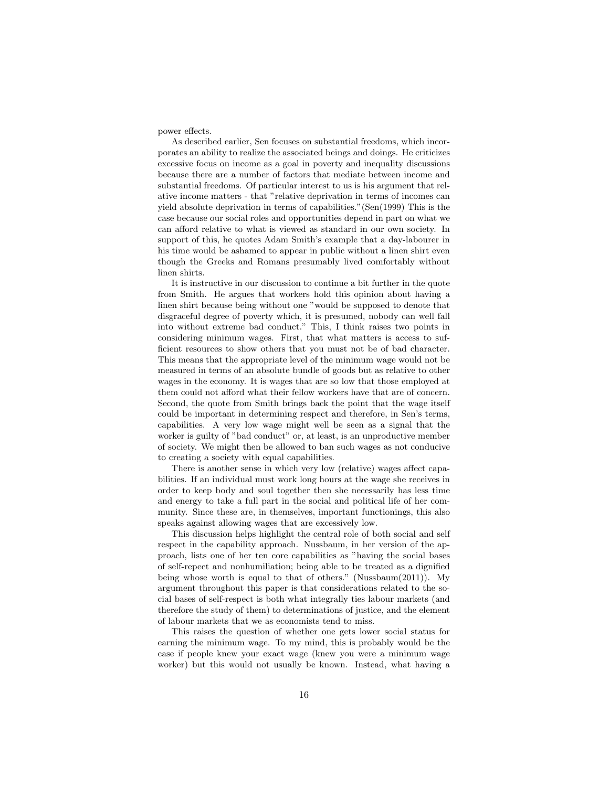power effects.

As described earlier, Sen focuses on substantial freedoms, which incorporates an ability to realize the associated beings and doings. He criticizes excessive focus on income as a goal in poverty and inequality discussions because there are a number of factors that mediate between income and substantial freedoms. Of particular interest to us is his argument that relative income matters - that "relative deprivation in terms of incomes can yield absolute deprivation in terms of capabilities."(Sen(1999) This is the case because our social roles and opportunities depend in part on what we can afford relative to what is viewed as standard in our own society. In support of this, he quotes Adam Smith's example that a day-labourer in his time would be ashamed to appear in public without a linen shirt even though the Greeks and Romans presumably lived comfortably without linen shirts.

It is instructive in our discussion to continue a bit further in the quote from Smith. He argues that workers hold this opinion about having a linen shirt because being without one "would be supposed to denote that disgraceful degree of poverty which, it is presumed, nobody can well fall into without extreme bad conduct." This, I think raises two points in considering minimum wages. First, that what matters is access to sufficient resources to show others that you must not be of bad character. This means that the appropriate level of the minimum wage would not be measured in terms of an absolute bundle of goods but as relative to other wages in the economy. It is wages that are so low that those employed at them could not afford what their fellow workers have that are of concern. Second, the quote from Smith brings back the point that the wage itself could be important in determining respect and therefore, in Sen's terms, capabilities. A very low wage might well be seen as a signal that the worker is guilty of "bad conduct" or, at least, is an unproductive member of society. We might then be allowed to ban such wages as not conducive to creating a society with equal capabilities.

There is another sense in which very low (relative) wages affect capabilities. If an individual must work long hours at the wage she receives in order to keep body and soul together then she necessarily has less time and energy to take a full part in the social and political life of her community. Since these are, in themselves, important functionings, this also speaks against allowing wages that are excessively low.

This discussion helps highlight the central role of both social and self respect in the capability approach. Nussbaum, in her version of the approach, lists one of her ten core capabilities as "having the social bases of self-repect and nonhumiliation; being able to be treated as a dignified being whose worth is equal to that of others." (Nussbaum(2011)). My argument throughout this paper is that considerations related to the social bases of self-respect is both what integrally ties labour markets (and therefore the study of them) to determinations of justice, and the element of labour markets that we as economists tend to miss.

This raises the question of whether one gets lower social status for earning the minimum wage. To my mind, this is probably would be the case if people knew your exact wage (knew you were a minimum wage worker) but this would not usually be known. Instead, what having a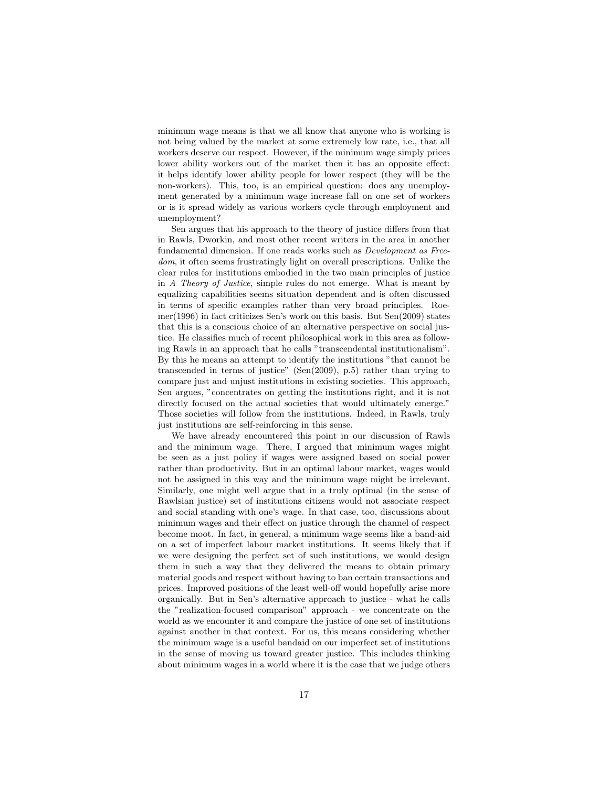minimum wage means is that we all know that anyone who is working is not being valued by the market at some extremely low rate, i.e., that all workers deserve our respect. However, if the minimum wage simply prices lower ability workers out of the market then it has an opposite effect: it helps identify lower ability people for lower respect (they will be the non-workers). This, too, is an empirical question: does any unemployment generated by a minimum wage increase fall on one set of workers or is it spread widely as various workers cycle through employment and unemployment?

Sen argues that his approach to the theory of justice differs from that in Rawls, Dworkin, and most other recent writers in the area in another fundamental dimension. If one reads works such as Development as Freedom, it often seems frustratingly light on overall prescriptions. Unlike the clear rules for institutions embodied in the two main principles of justice in A Theory of Justice, simple rules do not emerge. What is meant by equalizing capabilities seems situation dependent and is often discussed in terms of specific examples rather than very broad principles. Roemer(1996) in fact criticizes Sen's work on this basis. But Sen(2009) states that this is a conscious choice of an alternative perspective on social justice. He classifies much of recent philosophical work in this area as following Rawls in an approach that he calls "transcendental institutionalism". By this he means an attempt to identify the institutions "that cannot be transcended in terms of justice" (Sen(2009), p.5) rather than trying to compare just and unjust institutions in existing societies. This approach, Sen argues, "concentrates on getting the institutions right, and it is not directly focused on the actual societies that would ultimately emerge." Those societies will follow from the institutions. Indeed, in Rawls, truly just institutions are self-reinforcing in this sense.

We have already encountered this point in our discussion of Rawls and the minimum wage. There, I argued that minimum wages might be seen as a just policy if wages were assigned based on social power rather than productivity. But in an optimal labour market, wages would not be assigned in this way and the minimum wage might be irrelevant. Similarly, one might well argue that in a truly optimal (in the sense of Rawlsian justice) set of institutions citizens would not associate respect and social standing with one's wage. In that case, too, discussions about minimum wages and their effect on justice through the channel of respect become moot. In fact, in general, a minimum wage seems like a band-aid on a set of imperfect labour market institutions. It seems likely that if we were designing the perfect set of such institutions, we would design them in such a way that they delivered the means to obtain primary material goods and respect without having to ban certain transactions and prices. Improved positions of the least well-off would hopefully arise more organically. But in Sen's alternative approach to justice - what he calls the "realization-focused comparison" approach - we concentrate on the world as we encounter it and compare the justice of one set of institutions against another in that context. For us, this means considering whether the minimum wage is a useful bandaid on our imperfect set of institutions in the sense of moving us toward greater justice. This includes thinking about minimum wages in a world where it is the case that we judge others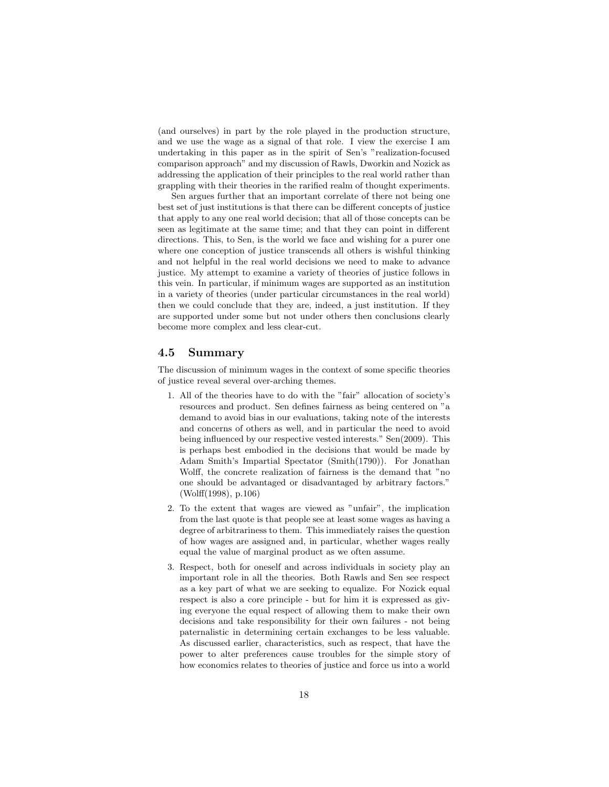(and ourselves) in part by the role played in the production structure, and we use the wage as a signal of that role. I view the exercise I am undertaking in this paper as in the spirit of Sen's "realization-focused comparison approach" and my discussion of Rawls, Dworkin and Nozick as addressing the application of their principles to the real world rather than grappling with their theories in the rarified realm of thought experiments.

Sen argues further that an important correlate of there not being one best set of just institutions is that there can be different concepts of justice that apply to any one real world decision; that all of those concepts can be seen as legitimate at the same time; and that they can point in different directions. This, to Sen, is the world we face and wishing for a purer one where one conception of justice transcends all others is wishful thinking and not helpful in the real world decisions we need to make to advance justice. My attempt to examine a variety of theories of justice follows in this vein. In particular, if minimum wages are supported as an institution in a variety of theories (under particular circumstances in the real world) then we could conclude that they are, indeed, a just institution. If they are supported under some but not under others then conclusions clearly become more complex and less clear-cut.

#### 4.5 Summary

The discussion of minimum wages in the context of some specific theories of justice reveal several over-arching themes.

- 1. All of the theories have to do with the "fair" allocation of society's resources and product. Sen defines fairness as being centered on "a demand to avoid bias in our evaluations, taking note of the interests and concerns of others as well, and in particular the need to avoid being influenced by our respective vested interests." Sen(2009). This is perhaps best embodied in the decisions that would be made by Adam Smith's Impartial Spectator (Smith(1790)). For Jonathan Wolff, the concrete realization of fairness is the demand that "no one should be advantaged or disadvantaged by arbitrary factors." (Wolff(1998), p.106)
- 2. To the extent that wages are viewed as "unfair", the implication from the last quote is that people see at least some wages as having a degree of arbitrariness to them. This immediately raises the question of how wages are assigned and, in particular, whether wages really equal the value of marginal product as we often assume.
- 3. Respect, both for oneself and across individuals in society play an important role in all the theories. Both Rawls and Sen see respect as a key part of what we are seeking to equalize. For Nozick equal respect is also a core principle - but for him it is expressed as giving everyone the equal respect of allowing them to make their own decisions and take responsibility for their own failures - not being paternalistic in determining certain exchanges to be less valuable. As discussed earlier, characteristics, such as respect, that have the power to alter preferences cause troubles for the simple story of how economics relates to theories of justice and force us into a world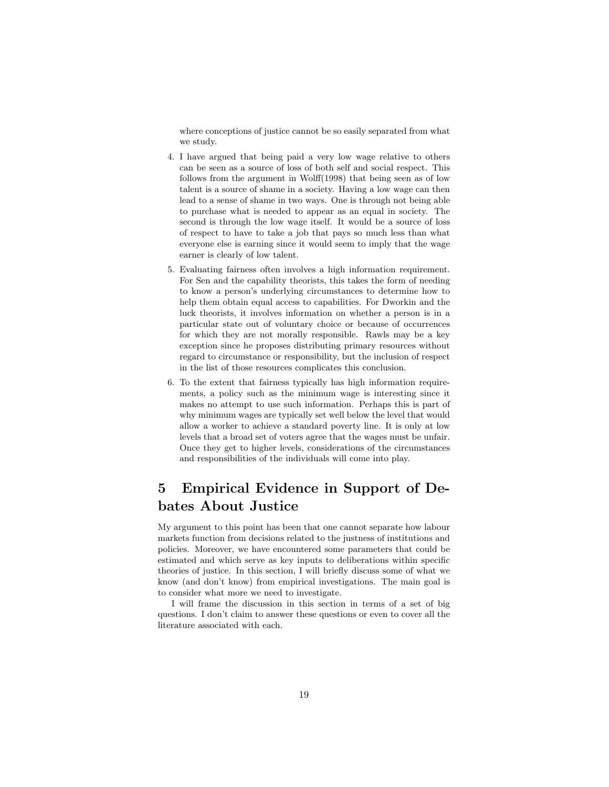where conceptions of justice cannot be so easily separated from what we study.

- 4. I have argued that being paid a very low wage relative to others can be seen as a source of loss of both self and social respect. This follows from the argument in Wolff(1998) that being seen as of low talent is a source of shame in a society. Having a low wage can then lead to a sense of shame in two ways. One is through not being able to purchase what is needed to appear as an equal in society. The second is through the low wage itself. It would be a source of loss of respect to have to take a job that pays so much less than what everyone else is earning since it would seem to imply that the wage earner is clearly of low talent.
- 5. Evaluating fairness often involves a high information requirement. For Sen and the capability theorists, this takes the form of needing to know a person's underlying circumstances to determine how to help them obtain equal access to capabilities. For Dworkin and the luck theorists, it involves information on whether a person is in a particular state out of voluntary choice or because of occurrences for which they are not morally responsible. Rawls may be a key exception since he proposes distributing primary resources without regard to circumstance or responsibility, but the inclusion of respect in the list of those resources complicates this conclusion.
- 6. To the extent that fairness typically has high information requirements, a policy such as the minimum wage is interesting since it makes no attempt to use such information. Perhaps this is part of why minimum wages are typically set well below the level that would allow a worker to achieve a standard poverty line. It is only at low levels that a broad set of voters agree that the wages must be unfair. Once they get to higher levels, considerations of the circumstances and responsibilities of the individuals will come into play.

## 5 Empirical Evidence in Support of Debates About Justice

My argument to this point has been that one cannot separate how labour markets function from decisions related to the justness of institutions and policies. Moreover, we have encountered some parameters that could be estimated and which serve as key inputs to deliberations within specific theories of justice. In this section, I will briefly discuss some of what we know (and don't know) from empirical investigations. The main goal is to consider what more we need to investigate.

I will frame the discussion in this section in terms of a set of big questions. I don't claim to answer these questions or even to cover all the literature associated with each.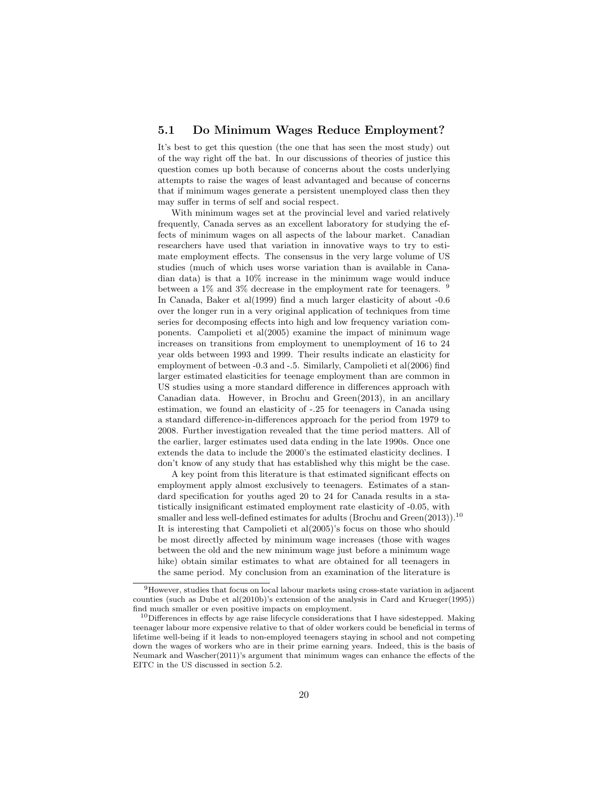#### 5.1 Do Minimum Wages Reduce Employment?

It's best to get this question (the one that has seen the most study) out of the way right off the bat. In our discussions of theories of justice this question comes up both because of concerns about the costs underlying attempts to raise the wages of least advantaged and because of concerns that if minimum wages generate a persistent unemployed class then they may suffer in terms of self and social respect.

With minimum wages set at the provincial level and varied relatively frequently, Canada serves as an excellent laboratory for studying the effects of minimum wages on all aspects of the labour market. Canadian researchers have used that variation in innovative ways to try to estimate employment effects. The consensus in the very large volume of US studies (much of which uses worse variation than is available in Canadian data) is that a 10% increase in the minimum wage would induce between a 1% and 3% decrease in the employment rate for teenagers. <sup>9</sup> In Canada, Baker et al(1999) find a much larger elasticity of about -0.6 over the longer run in a very original application of techniques from time series for decomposing effects into high and low frequency variation components. Campolieti et al(2005) examine the impact of minimum wage increases on transitions from employment to unemployment of 16 to 24 year olds between 1993 and 1999. Their results indicate an elasticity for employment of between -0.3 and -.5. Similarly, Campolieti et al(2006) find larger estimated elasticities for teenage employment than are common in US studies using a more standard difference in differences approach with Canadian data. However, in Brochu and Green(2013), in an ancillary estimation, we found an elasticity of -.25 for teenagers in Canada using a standard difference-in-differences approach for the period from 1979 to 2008. Further investigation revealed that the time period matters. All of the earlier, larger estimates used data ending in the late 1990s. Once one extends the data to include the 2000's the estimated elasticity declines. I don't know of any study that has established why this might be the case.

A key point from this literature is that estimated significant effects on employment apply almost exclusively to teenagers. Estimates of a standard specification for youths aged 20 to 24 for Canada results in a statistically insignificant estimated employment rate elasticity of -0.05, with smaller and less well-defined estimates for adults (Brochu and Green(2013)).<sup>10</sup> It is interesting that Campolieti et al(2005)'s focus on those who should be most directly affected by minimum wage increases (those with wages between the old and the new minimum wage just before a minimum wage hike) obtain similar estimates to what are obtained for all teenagers in the same period. My conclusion from an examination of the literature is

<sup>9</sup>However, studies that focus on local labour markets using cross-state variation in adjacent counties (such as Dube et al(2010b)'s extension of the analysis in Card and Krueger(1995)) find much smaller or even positive impacts on employment.

 $^{10}\rm{Differences}$  in effects by age raise lifecycle considerations that I have sidestepped. Making teenager labour more expensive relative to that of older workers could be beneficial in terms of lifetime well-being if it leads to non-employed teenagers staying in school and not competing down the wages of workers who are in their prime earning years. Indeed, this is the basis of Neumark and Wascher(2011)'s argument that minimum wages can enhance the effects of the EITC in the US discussed in section 5.2.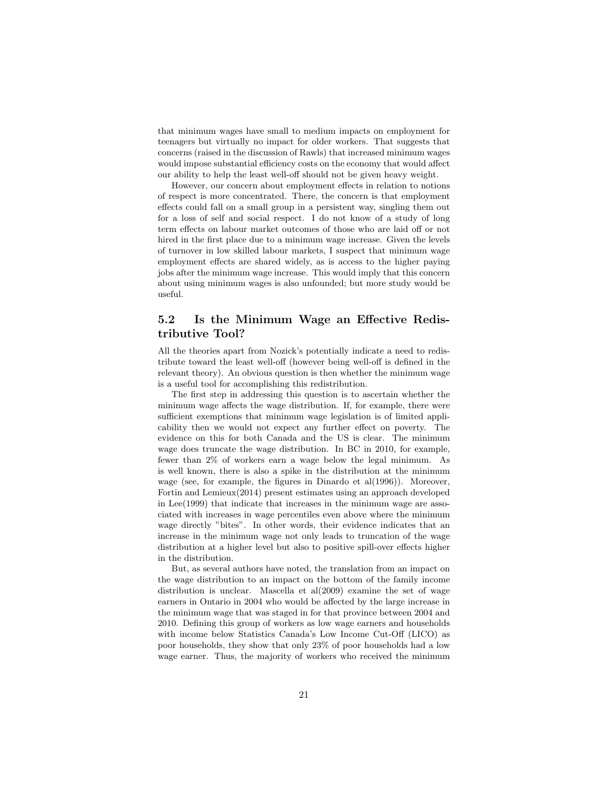that minimum wages have small to medium impacts on employment for teenagers but virtually no impact for older workers. That suggests that concerns (raised in the discussion of Rawls) that increased minimum wages would impose substantial efficiency costs on the economy that would affect our ability to help the least well-off should not be given heavy weight.

However, our concern about employment effects in relation to notions of respect is more concentrated. There, the concern is that employment effects could fall on a small group in a persistent way, singling them out for a loss of self and social respect. I do not know of a study of long term effects on labour market outcomes of those who are laid off or not hired in the first place due to a minimum wage increase. Given the levels of turnover in low skilled labour markets, I suspect that minimum wage employment effects are shared widely, as is access to the higher paying jobs after the minimum wage increase. This would imply that this concern about using minimum wages is also unfounded; but more study would be useful.

### 5.2 Is the Minimum Wage an Effective Redistributive Tool?

All the theories apart from Nozick's potentially indicate a need to redistribute toward the least well-off (however being well-off is defined in the relevant theory). An obvious question is then whether the minimum wage is a useful tool for accomplishing this redistribution.

The first step in addressing this question is to ascertain whether the minimum wage affects the wage distribution. If, for example, there were sufficient exemptions that minimum wage legislation is of limited applicability then we would not expect any further effect on poverty. The evidence on this for both Canada and the US is clear. The minimum wage does truncate the wage distribution. In BC in 2010, for example, fewer than 2% of workers earn a wage below the legal minimum. As is well known, there is also a spike in the distribution at the minimum wage (see, for example, the figures in Dinardo et al(1996)). Moreover, Fortin and Lemieux(2014) present estimates using an approach developed in Lee(1999) that indicate that increases in the minimum wage are associated with increases in wage percentiles even above where the minimum wage directly "bites". In other words, their evidence indicates that an increase in the minimum wage not only leads to truncation of the wage distribution at a higher level but also to positive spill-over effects higher in the distribution.

But, as several authors have noted, the translation from an impact on the wage distribution to an impact on the bottom of the family income distribution is unclear. Mascella et al(2009) examine the set of wage earners in Ontario in 2004 who would be affected by the large increase in the minimum wage that was staged in for that province between 2004 and 2010. Defining this group of workers as low wage earners and households with income below Statistics Canada's Low Income Cut-Off (LICO) as poor households, they show that only 23% of poor households had a low wage earner. Thus, the majority of workers who received the minimum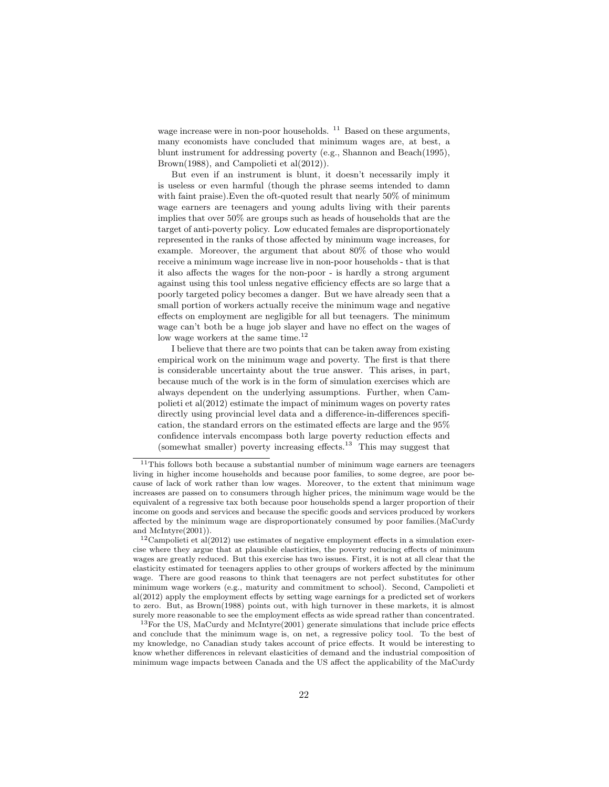wage increase were in non-poor households.  $11$  Based on these arguments, many economists have concluded that minimum wages are, at best, a blunt instrument for addressing poverty (e.g., Shannon and Beach(1995), Brown(1988), and Campolieti et al(2012)).

But even if an instrument is blunt, it doesn't necessarily imply it is useless or even harmful (though the phrase seems intended to damn with faint praise).Even the oft-quoted result that nearly 50% of minimum wage earners are teenagers and young adults living with their parents implies that over 50% are groups such as heads of households that are the target of anti-poverty policy. Low educated females are disproportionately represented in the ranks of those affected by minimum wage increases, for example. Moreover, the argument that about 80% of those who would receive a minimum wage increase live in non-poor households - that is that it also affects the wages for the non-poor - is hardly a strong argument against using this tool unless negative efficiency effects are so large that a poorly targeted policy becomes a danger. But we have already seen that a small portion of workers actually receive the minimum wage and negative effects on employment are negligible for all but teenagers. The minimum wage can't both be a huge job slayer and have no effect on the wages of low wage workers at the same time.<sup>12</sup>

I believe that there are two points that can be taken away from existing empirical work on the minimum wage and poverty. The first is that there is considerable uncertainty about the true answer. This arises, in part, because much of the work is in the form of simulation exercises which are always dependent on the underlying assumptions. Further, when Campolieti et al(2012) estimate the impact of minimum wages on poverty rates directly using provincial level data and a difference-in-differences specification, the standard errors on the estimated effects are large and the 95% confidence intervals encompass both large poverty reduction effects and (somewhat smaller) poverty increasing effects.<sup>13</sup> This may suggest that

<sup>&</sup>lt;sup>11</sup>This follows both because a substantial number of minimum wage earners are teenagers living in higher income households and because poor families, to some degree, are poor because of lack of work rather than low wages. Moreover, to the extent that minimum wage increases are passed on to consumers through higher prices, the minimum wage would be the equivalent of a regressive tax both because poor households spend a larger proportion of their income on goods and services and because the specific goods and services produced by workers affected by the minimum wage are disproportionately consumed by poor families.(MaCurdy and McIntyre(2001)).

 $12$ Campolieti et al(2012) use estimates of negative employment effects in a simulation exercise where they argue that at plausible elasticities, the poverty reducing effects of minimum wages are greatly reduced. But this exercise has two issues. First, it is not at all clear that the elasticity estimated for teenagers applies to other groups of workers affected by the minimum wage. There are good reasons to think that teenagers are not perfect substitutes for other minimum wage workers (e.g., maturity and commitment to school). Second, Campolieti et al(2012) apply the employment effects by setting wage earnings for a predicted set of workers to zero. But, as Brown(1988) points out, with high turnover in these markets, it is almost surely more reasonable to see the employment effects as wide spread rather than concentrated.

<sup>&</sup>lt;sup>13</sup>For the US, MaCurdy and McIntyre(2001) generate simulations that include price effects and conclude that the minimum wage is, on net, a regressive policy tool. To the best of my knowledge, no Canadian study takes account of price effects. It would be interesting to know whether differences in relevant elasticities of demand and the industrial composition of minimum wage impacts between Canada and the US affect the applicability of the MaCurdy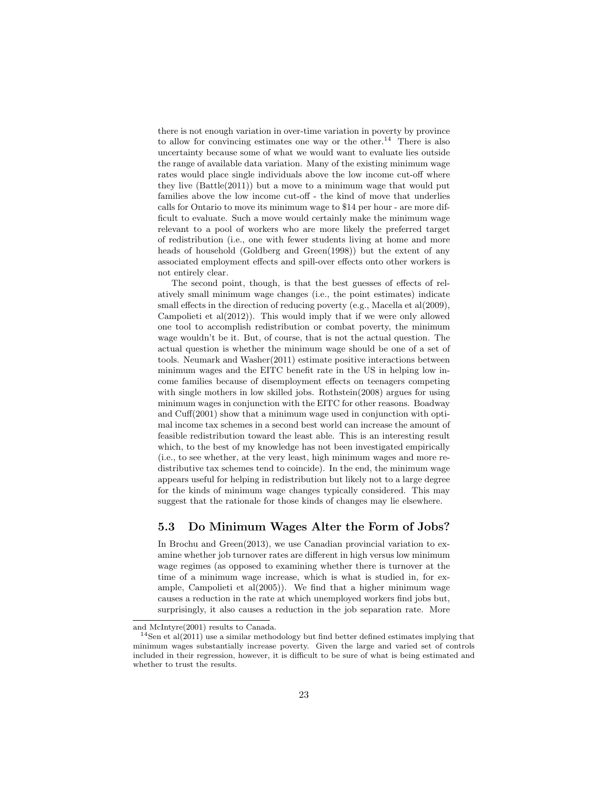there is not enough variation in over-time variation in poverty by province to allow for convincing estimates one way or the other.<sup>14</sup> There is also uncertainty because some of what we would want to evaluate lies outside the range of available data variation. Many of the existing minimum wage rates would place single individuals above the low income cut-off where they live (Battle(2011)) but a move to a minimum wage that would put families above the low income cut-off - the kind of move that underlies calls for Ontario to move its minimum wage to \$14 per hour - are more difficult to evaluate. Such a move would certainly make the minimum wage relevant to a pool of workers who are more likely the preferred target of redistribution (i.e., one with fewer students living at home and more heads of household (Goldberg and Green(1998)) but the extent of any associated employment effects and spill-over effects onto other workers is not entirely clear.

The second point, though, is that the best guesses of effects of relatively small minimum wage changes (i.e., the point estimates) indicate small effects in the direction of reducing poverty (e.g., Macella et al(2009), Campolieti et al(2012)). This would imply that if we were only allowed one tool to accomplish redistribution or combat poverty, the minimum wage wouldn't be it. But, of course, that is not the actual question. The actual question is whether the minimum wage should be one of a set of tools. Neumark and Washer(2011) estimate positive interactions between minimum wages and the EITC benefit rate in the US in helping low income families because of disemployment effects on teenagers competing with single mothers in low skilled jobs. Rothstein(2008) argues for using minimum wages in conjunction with the EITC for other reasons. Boadway and Cuff(2001) show that a minimum wage used in conjunction with optimal income tax schemes in a second best world can increase the amount of feasible redistribution toward the least able. This is an interesting result which, to the best of my knowledge has not been investigated empirically (i.e., to see whether, at the very least, high minimum wages and more redistributive tax schemes tend to coincide). In the end, the minimum wage appears useful for helping in redistribution but likely not to a large degree for the kinds of minimum wage changes typically considered. This may suggest that the rationale for those kinds of changes may lie elsewhere.

#### 5.3 Do Minimum Wages Alter the Form of Jobs?

In Brochu and Green(2013), we use Canadian provincial variation to examine whether job turnover rates are different in high versus low minimum wage regimes (as opposed to examining whether there is turnover at the time of a minimum wage increase, which is what is studied in, for example, Campolieti et al(2005)). We find that a higher minimum wage causes a reduction in the rate at which unemployed workers find jobs but, surprisingly, it also causes a reduction in the job separation rate. More

and McIntyre(2001) results to Canada.

<sup>14</sup>Sen et al(2011) use a similar methodology but find better defined estimates implying that minimum wages substantially increase poverty. Given the large and varied set of controls included in their regression, however, it is difficult to be sure of what is being estimated and whether to trust the results.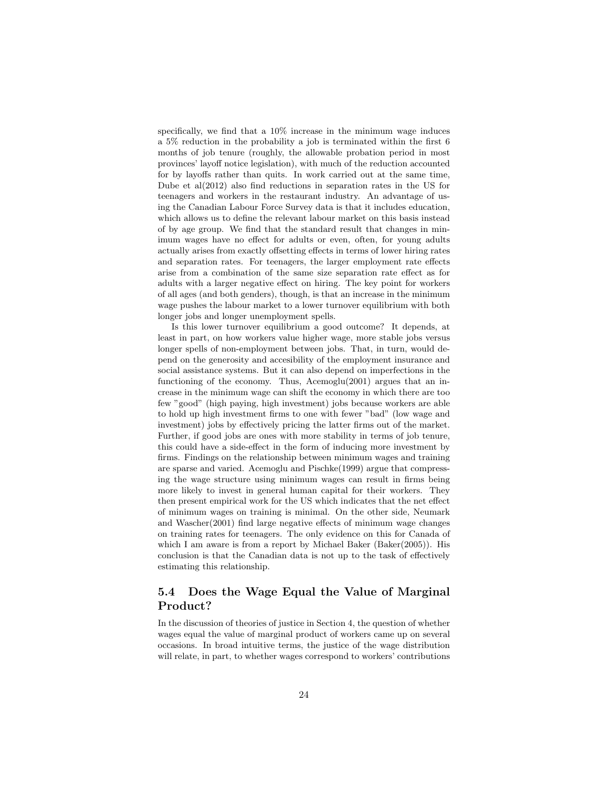specifically, we find that a 10% increase in the minimum wage induces a 5% reduction in the probability a job is terminated within the first 6 months of job tenure (roughly, the allowable probation period in most provinces' layoff notice legislation), with much of the reduction accounted for by layoffs rather than quits. In work carried out at the same time, Dube et al(2012) also find reductions in separation rates in the US for teenagers and workers in the restaurant industry. An advantage of using the Canadian Labour Force Survey data is that it includes education, which allows us to define the relevant labour market on this basis instead of by age group. We find that the standard result that changes in minimum wages have no effect for adults or even, often, for young adults actually arises from exactly offsetting effects in terms of lower hiring rates and separation rates. For teenagers, the larger employment rate effects arise from a combination of the same size separation rate effect as for adults with a larger negative effect on hiring. The key point for workers of all ages (and both genders), though, is that an increase in the minimum wage pushes the labour market to a lower turnover equilibrium with both longer jobs and longer unemployment spells.

Is this lower turnover equilibrium a good outcome? It depends, at least in part, on how workers value higher wage, more stable jobs versus longer spells of non-employment between jobs. That, in turn, would depend on the generosity and accesibility of the employment insurance and social assistance systems. But it can also depend on imperfections in the functioning of the economy. Thus, Acemoglu(2001) argues that an increase in the minimum wage can shift the economy in which there are too few "good" (high paying, high investment) jobs because workers are able to hold up high investment firms to one with fewer "bad" (low wage and investment) jobs by effectively pricing the latter firms out of the market. Further, if good jobs are ones with more stability in terms of job tenure, this could have a side-effect in the form of inducing more investment by firms. Findings on the relationship between minimum wages and training are sparse and varied. Acemoglu and Pischke(1999) argue that compressing the wage structure using minimum wages can result in firms being more likely to invest in general human capital for their workers. They then present empirical work for the US which indicates that the net effect of minimum wages on training is minimal. On the other side, Neumark and Wascher(2001) find large negative effects of minimum wage changes on training rates for teenagers. The only evidence on this for Canada of which I am aware is from a report by Michael Baker (Baker(2005)). His conclusion is that the Canadian data is not up to the task of effectively estimating this relationship.

### 5.4 Does the Wage Equal the Value of Marginal Product?

In the discussion of theories of justice in Section 4, the question of whether wages equal the value of marginal product of workers came up on several occasions. In broad intuitive terms, the justice of the wage distribution will relate, in part, to whether wages correspond to workers' contributions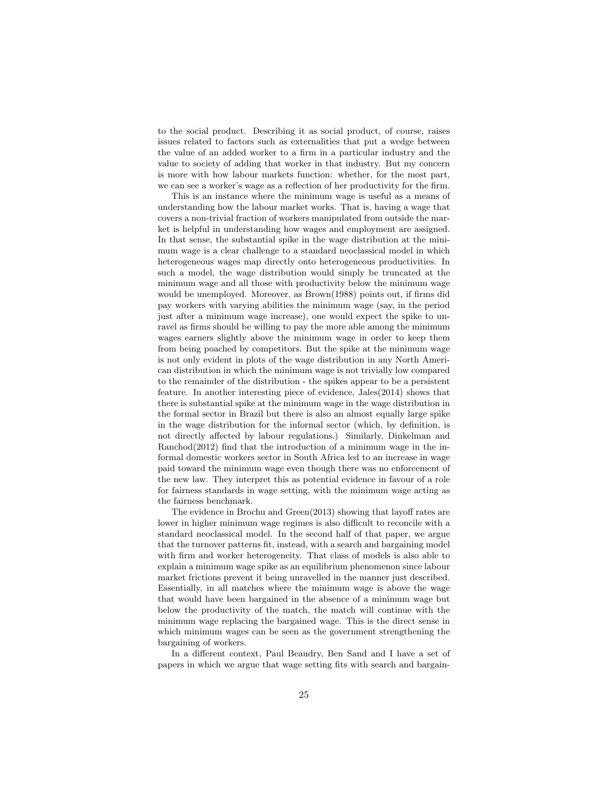to the social product. Describing it as social product, of course, raises issues related to factors such as externalities that put a wedge between the value of an added worker to a firm in a particular industry and the value to society of adding that worker in that industry. But my concern is more with how labour markets function: whether, for the most part, we can see a worker's wage as a reflection of her productivity for the firm.

This is an instance where the minimum wage is useful as a means of understanding how the labour market works. That is, having a wage that covers a non-trivial fraction of workers manipulated from outside the market is helpful in understanding how wages and employment are assigned. In that sense, the substantial spike in the wage distribution at the minimum wage is a clear challenge to a standard neoclassical model in which heterogeneous wages map directly onto heterogeneous productivities. In such a model, the wage distribution would simply be truncated at the minimum wage and all those with productivity below the minimum wage would be unemployed. Moreover, as Brown(1988) points out, if firms did pay workers with varying abilities the minimum wage (say, in the period just after a minimum wage increase), one would expect the spike to unravel as firms should be willing to pay the more able among the minimum wages earners slightly above the minimum wage in order to keep them from being poached by competitors. But the spike at the minimum wage is not only evident in plots of the wage distribution in any North American distribution in which the minimum wage is not trivially low compared to the remainder of the distribution - the spikes appear to be a persistent feature. In another interesting piece of evidence, Jales(2014) shows that there is substantial spike at the minimum wage in the wage distribution in the formal sector in Brazil but there is also an almost equally large spike in the wage distribution for the informal sector (which, by definition, is not directly affected by labour regulations.) Similarly, Dinkelman and Ranchod(2012) find that the introduction of a minimum wage in the informal domestic workers sector in South Africa led to an increase in wage paid toward the minimum wage even though there was no enforcement of the new law. They interpret this as potential evidence in favour of a role for fairness standards in wage setting, with the minimum wage acting as the fairness benchmark.

The evidence in Brochu and Green(2013) showing that layoff rates are lower in higher minimum wage regimes is also difficult to reconcile with a standard neoclassical model. In the second half of that paper, we argue that the turnover patterns fit, instead, with a search and bargaining model with firm and worker heterogeneity. That class of models is also able to explain a minimum wage spike as an equilibrium phenomenon since labour market frictions prevent it being unravelled in the manner just described. Essentially, in all matches where the minimum wage is above the wage that would have been bargained in the absence of a minimum wage but below the productivity of the match, the match will continue with the minimum wage replacing the bargained wage. This is the direct sense in which minimum wages can be seen as the government strengthening the bargaining of workers.

In a different context, Paul Beaudry, Ben Sand and I have a set of papers in which we argue that wage setting fits with search and bargain-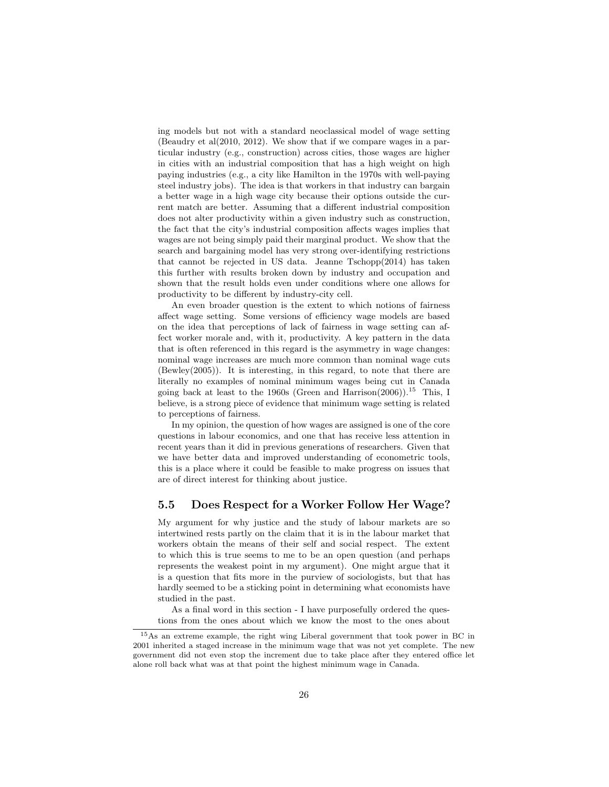ing models but not with a standard neoclassical model of wage setting (Beaudry et al(2010, 2012). We show that if we compare wages in a particular industry (e.g., construction) across cities, those wages are higher in cities with an industrial composition that has a high weight on high paying industries (e.g., a city like Hamilton in the 1970s with well-paying steel industry jobs). The idea is that workers in that industry can bargain a better wage in a high wage city because their options outside the current match are better. Assuming that a different industrial composition does not alter productivity within a given industry such as construction, the fact that the city's industrial composition affects wages implies that wages are not being simply paid their marginal product. We show that the search and bargaining model has very strong over-identifying restrictions that cannot be rejected in US data. Jeanne Tschopp(2014) has taken this further with results broken down by industry and occupation and shown that the result holds even under conditions where one allows for productivity to be different by industry-city cell.

An even broader question is the extent to which notions of fairness affect wage setting. Some versions of efficiency wage models are based on the idea that perceptions of lack of fairness in wage setting can affect worker morale and, with it, productivity. A key pattern in the data that is often referenced in this regard is the asymmetry in wage changes: nominal wage increases are much more common than nominal wage cuts (Bewley(2005)). It is interesting, in this regard, to note that there are literally no examples of nominal minimum wages being cut in Canada going back at least to the 1960s (Green and Harrison(2006)).<sup>15</sup> This, I believe, is a strong piece of evidence that minimum wage setting is related to perceptions of fairness.

In my opinion, the question of how wages are assigned is one of the core questions in labour economics, and one that has receive less attention in recent years than it did in previous generations of researchers. Given that we have better data and improved understanding of econometric tools, this is a place where it could be feasible to make progress on issues that are of direct interest for thinking about justice.

#### 5.5 Does Respect for a Worker Follow Her Wage?

My argument for why justice and the study of labour markets are so intertwined rests partly on the claim that it is in the labour market that workers obtain the means of their self and social respect. The extent to which this is true seems to me to be an open question (and perhaps represents the weakest point in my argument). One might argue that it is a question that fits more in the purview of sociologists, but that has hardly seemed to be a sticking point in determining what economists have studied in the past.

As a final word in this section - I have purposefully ordered the questions from the ones about which we know the most to the ones about

<sup>15</sup>As an extreme example, the right wing Liberal government that took power in BC in 2001 inherited a staged increase in the minimum wage that was not yet complete. The new government did not even stop the increment due to take place after they entered office let alone roll back what was at that point the highest minimum wage in Canada.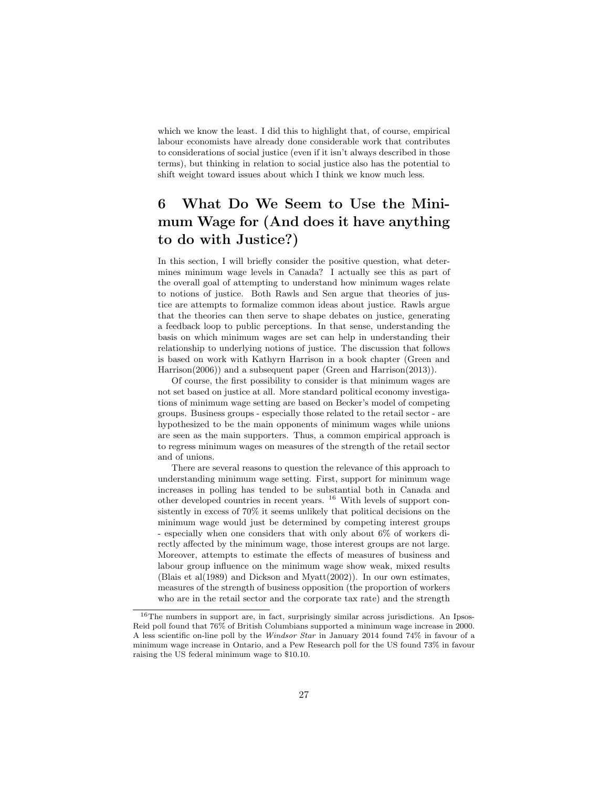which we know the least. I did this to highlight that, of course, empirical labour economists have already done considerable work that contributes to considerations of social justice (even if it isn't always described in those terms), but thinking in relation to social justice also has the potential to shift weight toward issues about which I think we know much less.

## 6 What Do We Seem to Use the Minimum Wage for (And does it have anything to do with Justice?)

In this section, I will briefly consider the positive question, what determines minimum wage levels in Canada? I actually see this as part of the overall goal of attempting to understand how minimum wages relate to notions of justice. Both Rawls and Sen argue that theories of justice are attempts to formalize common ideas about justice. Rawls argue that the theories can then serve to shape debates on justice, generating a feedback loop to public perceptions. In that sense, understanding the basis on which minimum wages are set can help in understanding their relationship to underlying notions of justice. The discussion that follows is based on work with Kathyrn Harrison in a book chapter (Green and Harrison(2006)) and a subsequent paper (Green and Harrison(2013)).

Of course, the first possibility to consider is that minimum wages are not set based on justice at all. More standard political economy investigations of minimum wage setting are based on Becker's model of competing groups. Business groups - especially those related to the retail sector - are hypothesized to be the main opponents of minimum wages while unions are seen as the main supporters. Thus, a common empirical approach is to regress minimum wages on measures of the strength of the retail sector and of unions.

There are several reasons to question the relevance of this approach to understanding minimum wage setting. First, support for minimum wage increases in polling has tended to be substantial both in Canada and other developed countries in recent years. <sup>16</sup> With levels of support consistently in excess of 70% it seems unlikely that political decisions on the minimum wage would just be determined by competing interest groups - especially when one considers that with only about 6% of workers directly affected by the minimum wage, those interest groups are not large. Moreover, attempts to estimate the effects of measures of business and labour group influence on the minimum wage show weak, mixed results (Blais et al(1989) and Dickson and Myatt(2002)). In our own estimates, measures of the strength of business opposition (the proportion of workers who are in the retail sector and the corporate tax rate) and the strength

 $16$ The numbers in support are, in fact, surprisingly similar across jurisdictions. An Ipsos-Reid poll found that 76% of British Columbians supported a minimum wage increase in 2000. A less scientific on-line poll by the Windsor Star in January 2014 found 74% in favour of a minimum wage increase in Ontario, and a Pew Research poll for the US found 73% in favour raising the US federal minimum wage to \$10.10.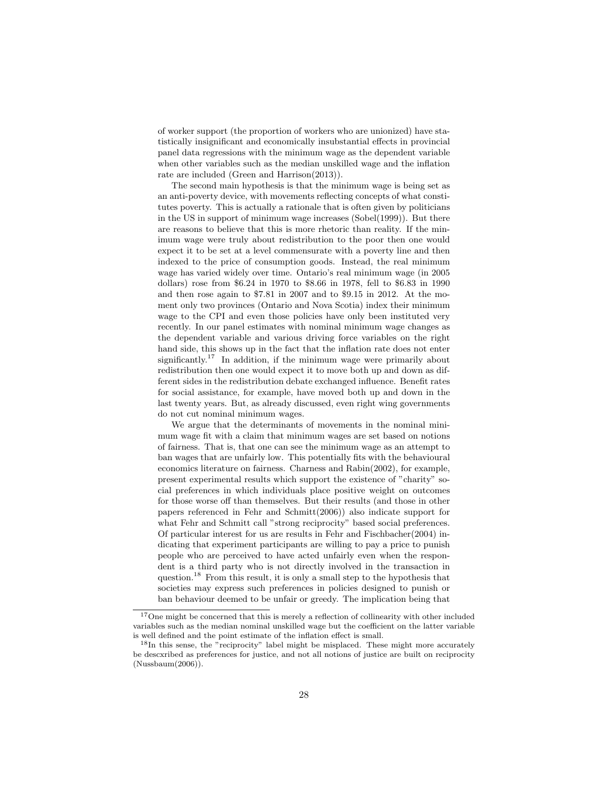of worker support (the proportion of workers who are unionized) have statistically insignificant and economically insubstantial effects in provincial panel data regressions with the minimum wage as the dependent variable when other variables such as the median unskilled wage and the inflation rate are included (Green and Harrison(2013)).

The second main hypothesis is that the minimum wage is being set as an anti-poverty device, with movements reflecting concepts of what constitutes poverty. This is actually a rationale that is often given by politicians in the US in support of minimum wage increases (Sobel(1999)). But there are reasons to believe that this is more rhetoric than reality. If the minimum wage were truly about redistribution to the poor then one would expect it to be set at a level commensurate with a poverty line and then indexed to the price of consumption goods. Instead, the real minimum wage has varied widely over time. Ontario's real minimum wage (in 2005 dollars) rose from \$6.24 in 1970 to \$8.66 in 1978, fell to \$6.83 in 1990 and then rose again to \$7.81 in 2007 and to \$9.15 in 2012. At the moment only two provinces (Ontario and Nova Scotia) index their minimum wage to the CPI and even those policies have only been instituted very recently. In our panel estimates with nominal minimum wage changes as the dependent variable and various driving force variables on the right hand side, this shows up in the fact that the inflation rate does not enter significantly.<sup>17</sup> In addition, if the minimum wage were primarily about redistribution then one would expect it to move both up and down as different sides in the redistribution debate exchanged influence. Benefit rates for social assistance, for example, have moved both up and down in the last twenty years. But, as already discussed, even right wing governments do not cut nominal minimum wages.

We argue that the determinants of movements in the nominal minimum wage fit with a claim that minimum wages are set based on notions of fairness. That is, that one can see the minimum wage as an attempt to ban wages that are unfairly low. This potentially fits with the behavioural economics literature on fairness. Charness and Rabin(2002), for example, present experimental results which support the existence of "charity" social preferences in which individuals place positive weight on outcomes for those worse off than themselves. But their results (and those in other papers referenced in Fehr and Schmitt(2006)) also indicate support for what Fehr and Schmitt call "strong reciprocity" based social preferences. Of particular interest for us are results in Fehr and Fischbacher(2004) indicating that experiment participants are willing to pay a price to punish people who are perceived to have acted unfairly even when the respondent is a third party who is not directly involved in the transaction in question.<sup>18</sup> From this result, it is only a small step to the hypothesis that societies may express such preferences in policies designed to punish or ban behaviour deemed to be unfair or greedy. The implication being that

<sup>&</sup>lt;sup>17</sup>One might be concerned that this is merely a reflection of collinearity with other included variables such as the median nominal unskilled wage but the coefficient on the latter variable is well defined and the point estimate of the inflation effect is small.

<sup>18</sup>In this sense, the "reciprocity" label might be misplaced. These might more accurately be descxribed as preferences for justice, and not all notions of justice are built on reciprocity (Nussbaum(2006)).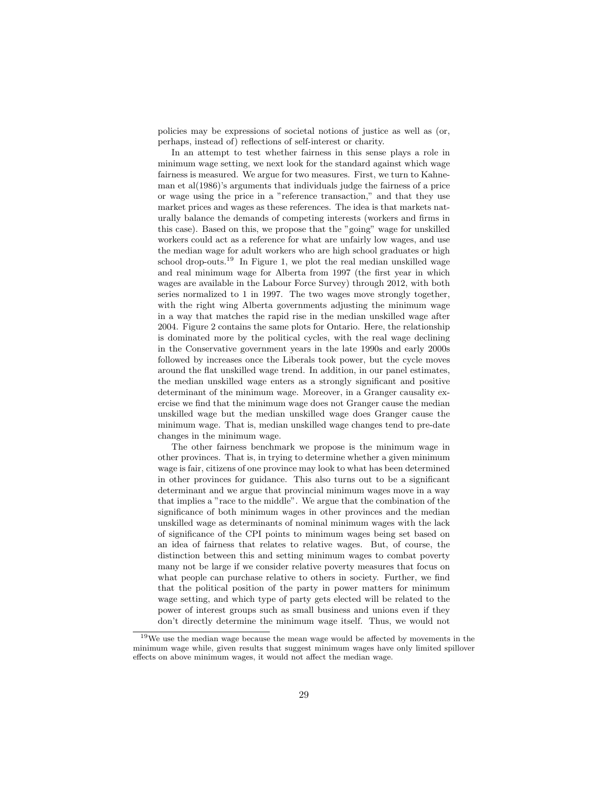policies may be expressions of societal notions of justice as well as (or, perhaps, instead of) reflections of self-interest or charity.

In an attempt to test whether fairness in this sense plays a role in minimum wage setting, we next look for the standard against which wage fairness is measured. We argue for two measures. First, we turn to Kahneman et al(1986)'s arguments that individuals judge the fairness of a price or wage using the price in a "reference transaction," and that they use market prices and wages as these references. The idea is that markets naturally balance the demands of competing interests (workers and firms in this case). Based on this, we propose that the "going" wage for unskilled workers could act as a reference for what are unfairly low wages, and use the median wage for adult workers who are high school graduates or high school drop-outs.<sup>19</sup> In Figure 1, we plot the real median unskilled wage and real minimum wage for Alberta from 1997 (the first year in which wages are available in the Labour Force Survey) through 2012, with both series normalized to 1 in 1997. The two wages move strongly together, with the right wing Alberta governments adjusting the minimum wage in a way that matches the rapid rise in the median unskilled wage after 2004. Figure 2 contains the same plots for Ontario. Here, the relationship is dominated more by the political cycles, with the real wage declining in the Conservative government years in the late 1990s and early 2000s followed by increases once the Liberals took power, but the cycle moves around the flat unskilled wage trend. In addition, in our panel estimates, the median unskilled wage enters as a strongly significant and positive determinant of the minimum wage. Moreover, in a Granger causality exercise we find that the minimum wage does not Granger cause the median unskilled wage but the median unskilled wage does Granger cause the minimum wage. That is, median unskilled wage changes tend to pre-date changes in the minimum wage.

The other fairness benchmark we propose is the minimum wage in other provinces. That is, in trying to determine whether a given minimum wage is fair, citizens of one province may look to what has been determined in other provinces for guidance. This also turns out to be a significant determinant and we argue that provincial minimum wages move in a way that implies a "race to the middle". We argue that the combination of the significance of both minimum wages in other provinces and the median unskilled wage as determinants of nominal minimum wages with the lack of significance of the CPI points to minimum wages being set based on an idea of fairness that relates to relative wages. But, of course, the distinction between this and setting minimum wages to combat poverty many not be large if we consider relative poverty measures that focus on what people can purchase relative to others in society. Further, we find that the political position of the party in power matters for minimum wage setting, and which type of party gets elected will be related to the power of interest groups such as small business and unions even if they don't directly determine the minimum wage itself. Thus, we would not

<sup>19</sup>We use the median wage because the mean wage would be affected by movements in the minimum wage while, given results that suggest minimum wages have only limited spillover effects on above minimum wages, it would not affect the median wage.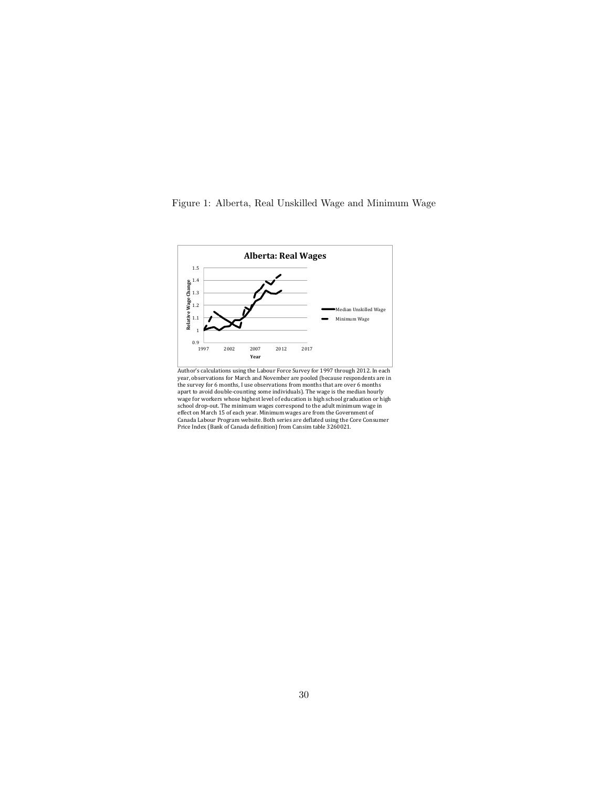

Figure 1: Alberta, Real Unskilled Wage and Minimum Wage

Author's calculations using the Labour Force Survey for 1997 through 2012. In each<br>year, observations for March and November are pooled (because respondents are in<br>the survey for 6 months, I use observations from months th school drop-out. The minimum wages correspond to the adult minimum wage in<br>effect on March 15 of each year. Minimum wages are from the Government of<br>Canada Labour Program website. Both series are deflated using the Core Co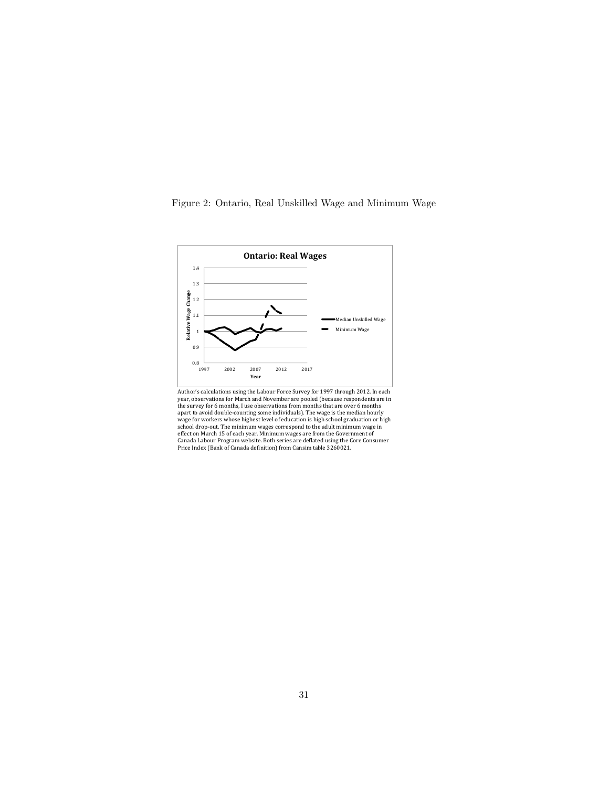

Figure 2: Ontario, Real Unskilled Wage and Minimum Wage

year, observations for March and November are pooled (because respondents are in<br>the survey for 6 months, I use observations from months that are over 6 months<br>apart to avoid double-counting some individuals). The wage is school drop-out. The minimum wages correspond to the adult minimum wage in<br>effect on March 15 of each year. Minimum wages are from the Government of<br>Canada Labour Program website. Both series are deflated using the Core Co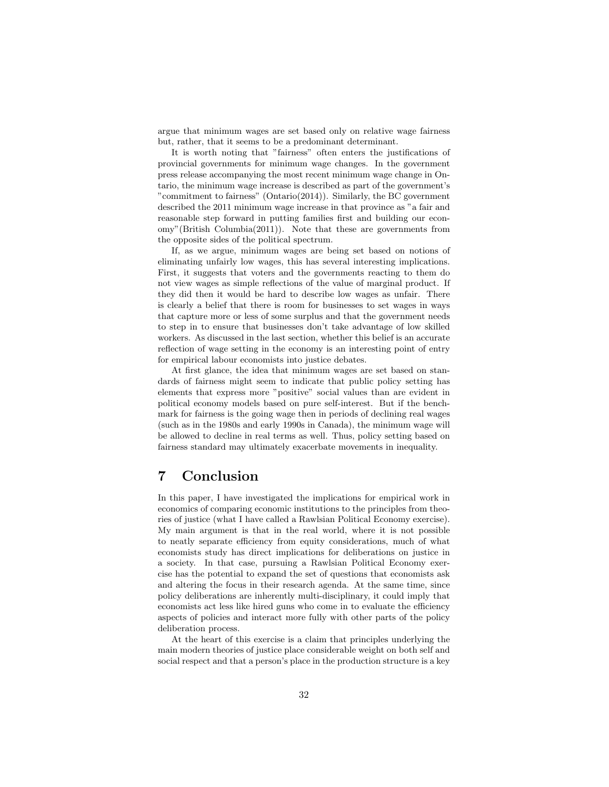argue that minimum wages are set based only on relative wage fairness but, rather, that it seems to be a predominant determinant.

It is worth noting that "fairness" often enters the justifications of provincial governments for minimum wage changes. In the government press release accompanying the most recent minimum wage change in Ontario, the minimum wage increase is described as part of the government's "commitment to fairness" (Ontario(2014)). Similarly, the BC government described the 2011 minimum wage increase in that province as "a fair and reasonable step forward in putting families first and building our economy"(British Columbia(2011)). Note that these are governments from the opposite sides of the political spectrum.

If, as we argue, minimum wages are being set based on notions of eliminating unfairly low wages, this has several interesting implications. First, it suggests that voters and the governments reacting to them do not view wages as simple reflections of the value of marginal product. If they did then it would be hard to describe low wages as unfair. There is clearly a belief that there is room for businesses to set wages in ways that capture more or less of some surplus and that the government needs to step in to ensure that businesses don't take advantage of low skilled workers. As discussed in the last section, whether this belief is an accurate reflection of wage setting in the economy is an interesting point of entry for empirical labour economists into justice debates.

At first glance, the idea that minimum wages are set based on standards of fairness might seem to indicate that public policy setting has elements that express more "positive" social values than are evident in political economy models based on pure self-interest. But if the benchmark for fairness is the going wage then in periods of declining real wages (such as in the 1980s and early 1990s in Canada), the minimum wage will be allowed to decline in real terms as well. Thus, policy setting based on fairness standard may ultimately exacerbate movements in inequality.

## 7 Conclusion

In this paper, I have investigated the implications for empirical work in economics of comparing economic institutions to the principles from theories of justice (what I have called a Rawlsian Political Economy exercise). My main argument is that in the real world, where it is not possible to neatly separate efficiency from equity considerations, much of what economists study has direct implications for deliberations on justice in a society. In that case, pursuing a Rawlsian Political Economy exercise has the potential to expand the set of questions that economists ask and altering the focus in their research agenda. At the same time, since policy deliberations are inherently multi-disciplinary, it could imply that economists act less like hired guns who come in to evaluate the efficiency aspects of policies and interact more fully with other parts of the policy deliberation process.

At the heart of this exercise is a claim that principles underlying the main modern theories of justice place considerable weight on both self and social respect and that a person's place in the production structure is a key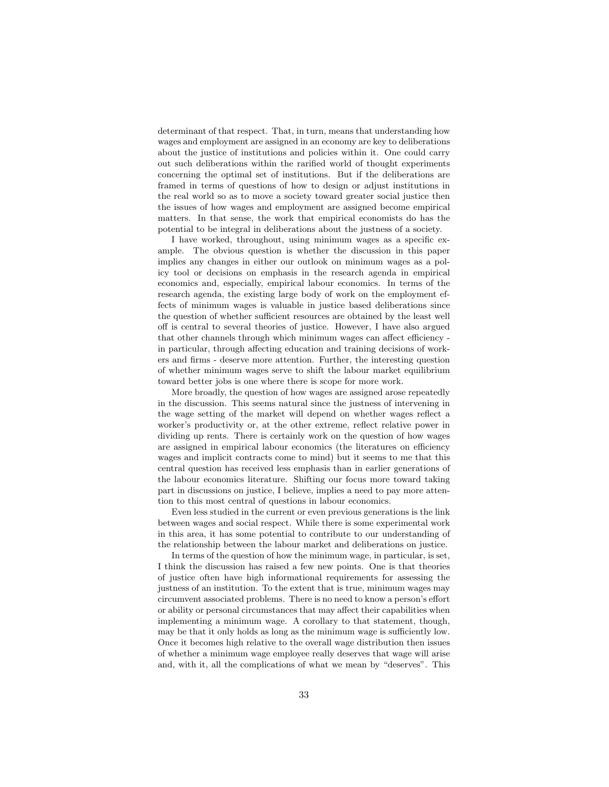determinant of that respect. That, in turn, means that understanding how wages and employment are assigned in an economy are key to deliberations about the justice of institutions and policies within it. One could carry out such deliberations within the rarified world of thought experiments concerning the optimal set of institutions. But if the deliberations are framed in terms of questions of how to design or adjust institutions in the real world so as to move a society toward greater social justice then the issues of how wages and employment are assigned become empirical matters. In that sense, the work that empirical economists do has the potential to be integral in deliberations about the justness of a society.

I have worked, throughout, using minimum wages as a specific example. The obvious question is whether the discussion in this paper implies any changes in either our outlook on minimum wages as a policy tool or decisions on emphasis in the research agenda in empirical economics and, especially, empirical labour economics. In terms of the research agenda, the existing large body of work on the employment effects of minimum wages is valuable in justice based deliberations since the question of whether sufficient resources are obtained by the least well off is central to several theories of justice. However, I have also argued that other channels through which minimum wages can affect efficiency in particular, through affecting education and training decisions of workers and firms - deserve more attention. Further, the interesting question of whether minimum wages serve to shift the labour market equilibrium toward better jobs is one where there is scope for more work.

More broadly, the question of how wages are assigned arose repeatedly in the discussion. This seems natural since the justness of intervening in the wage setting of the market will depend on whether wages reflect a worker's productivity or, at the other extreme, reflect relative power in dividing up rents. There is certainly work on the question of how wages are assigned in empirical labour economics (the literatures on efficiency wages and implicit contracts come to mind) but it seems to me that this central question has received less emphasis than in earlier generations of the labour economics literature. Shifting our focus more toward taking part in discussions on justice, I believe, implies a need to pay more attention to this most central of questions in labour economics.

Even less studied in the current or even previous generations is the link between wages and social respect. While there is some experimental work in this area, it has some potential to contribute to our understanding of the relationship between the labour market and deliberations on justice.

In terms of the question of how the minimum wage, in particular, is set, I think the discussion has raised a few new points. One is that theories of justice often have high informational requirements for assessing the justness of an institution. To the extent that is true, minimum wages may circumvent associated problems. There is no need to know a person's effort or ability or personal circumstances that may affect their capabilities when implementing a minimum wage. A corollary to that statement, though, may be that it only holds as long as the minimum wage is sufficiently low. Once it becomes high relative to the overall wage distribution then issues of whether a minimum wage employee really deserves that wage will arise and, with it, all the complications of what we mean by "deserves". This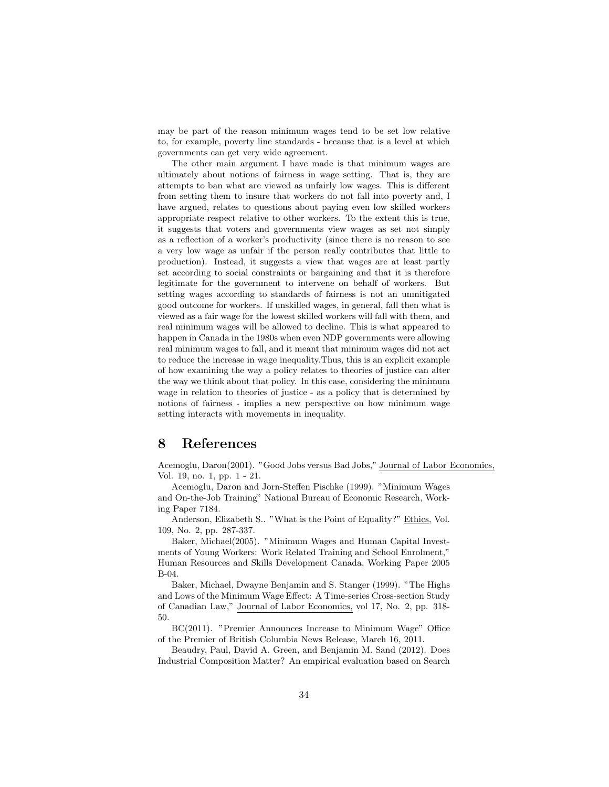may be part of the reason minimum wages tend to be set low relative to, for example, poverty line standards - because that is a level at which governments can get very wide agreement.

The other main argument I have made is that minimum wages are ultimately about notions of fairness in wage setting. That is, they are attempts to ban what are viewed as unfairly low wages. This is different from setting them to insure that workers do not fall into poverty and, I have argued, relates to questions about paying even low skilled workers appropriate respect relative to other workers. To the extent this is true, it suggests that voters and governments view wages as set not simply as a reflection of a worker's productivity (since there is no reason to see a very low wage as unfair if the person really contributes that little to production). Instead, it suggests a view that wages are at least partly set according to social constraints or bargaining and that it is therefore legitimate for the government to intervene on behalf of workers. But setting wages according to standards of fairness is not an unmitigated good outcome for workers. If unskilled wages, in general, fall then what is viewed as a fair wage for the lowest skilled workers will fall with them, and real minimum wages will be allowed to decline. This is what appeared to happen in Canada in the 1980s when even NDP governments were allowing real minimum wages to fall, and it meant that minimum wages did not act to reduce the increase in wage inequality.Thus, this is an explicit example of how examining the way a policy relates to theories of justice can alter the way we think about that policy. In this case, considering the minimum wage in relation to theories of justice - as a policy that is determined by notions of fairness - implies a new perspective on how minimum wage setting interacts with movements in inequality.

## 8 References

Acemoglu, Daron(2001). "Good Jobs versus Bad Jobs," Journal of Labor Economics, Vol. 19, no. 1, pp. 1 - 21.

Acemoglu, Daron and Jorn-Steffen Pischke (1999). "Minimum Wages and On-the-Job Training" National Bureau of Economic Research, Working Paper 7184.

Anderson, Elizabeth S.. "What is the Point of Equality?" Ethics, Vol. 109, No. 2, pp. 287-337.

Baker, Michael(2005). "Minimum Wages and Human Capital Investments of Young Workers: Work Related Training and School Enrolment," Human Resources and Skills Development Canada, Working Paper 2005 B-04.

Baker, Michael, Dwayne Benjamin and S. Stanger (1999). "The Highs and Lows of the Minimum Wage Effect: A Time-series Cross-section Study of Canadian Law," Journal of Labor Economics, vol 17, No. 2, pp. 318- 50.

BC(2011). "Premier Announces Increase to Minimum Wage" Office of the Premier of British Columbia News Release, March 16, 2011.

Beaudry, Paul, David A. Green, and Benjamin M. Sand (2012). Does Industrial Composition Matter? An empirical evaluation based on Search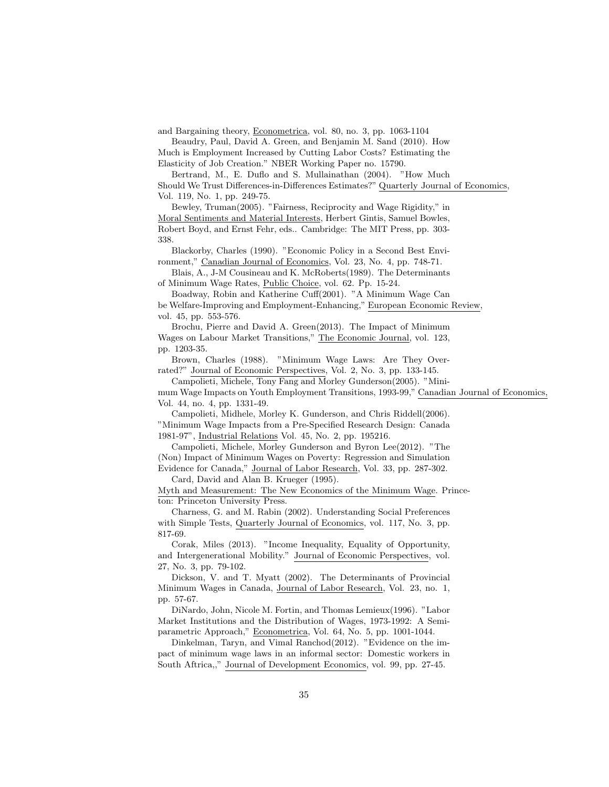and Bargaining theory, Econometrica, vol. 80, no. 3, pp. 1063-1104

Beaudry, Paul, David A. Green, and Benjamin M. Sand (2010). How Much is Employment Increased by Cutting Labor Costs? Estimating the Elasticity of Job Creation." NBER Working Paper no. 15790.

Bertrand, M., E. Duflo and S. Mullainathan (2004). "How Much Should We Trust Differences-in-Differences Estimates?" Quarterly Journal of Economics, Vol. 119, No. 1, pp. 249-75.

Bewley, Truman(2005). "Fairness, Reciprocity and Wage Rigidity," in Moral Sentiments and Material Interests, Herbert Gintis, Samuel Bowles, Robert Boyd, and Ernst Fehr, eds.. Cambridge: The MIT Press, pp. 303- 338.

Blackorby, Charles (1990). "Economic Policy in a Second Best Environment," Canadian Journal of Economics, Vol. 23, No. 4, pp. 748-71.

Blais, A., J-M Cousineau and K. McRoberts(1989). The Determinants of Minimum Wage Rates, Public Choice, vol. 62. Pp. 15-24.

Boadway, Robin and Katherine Cuff(2001). "A Minimum Wage Can be Welfare-Improving and Employment-Enhancing," European Economic Review, vol. 45, pp. 553-576.

Brochu, Pierre and David A. Green(2013). The Impact of Minimum Wages on Labour Market Transitions," The Economic Journal, vol. 123, pp. 1203-35.

Brown, Charles (1988). "Minimum Wage Laws: Are They Overrated?" Journal of Economic Perspectives, Vol. 2, No. 3, pp. 133-145.

Campolieti, Michele, Tony Fang and Morley Gunderson(2005). "Minimum Wage Impacts on Youth Employment Transitions, 1993-99," Canadian Journal of Economics, Vol. 44, no. 4, pp. 1331-49.

Campolieti, Midhele, Morley K. Gunderson, and Chris Riddell(2006). "Minimum Wage Impacts from a Pre-Specified Research Design: Canada 1981-97", Industrial Relations Vol. 45, No. 2, pp. 195216.

Campolieti, Michele, Morley Gunderson and Byron Lee(2012). "The (Non) Impact of Minimum Wages on Poverty: Regression and Simulation Evidence for Canada," Journal of Labor Research, Vol. 33, pp. 287-302.

Card, David and Alan B. Krueger (1995).

Myth and Measurement: The New Economics of the Minimum Wage. Princeton: Princeton University Press.

Charness, G. and M. Rabin (2002). Understanding Social Preferences with Simple Tests, Quarterly Journal of Economics, vol. 117, No. 3, pp. 817-69.

Corak, Miles (2013). "Income Inequality, Equality of Opportunity, and Intergenerational Mobility." Journal of Economic Perspectives, vol. 27, No. 3, pp. 79-102.

Dickson, V. and T. Myatt (2002). The Determinants of Provincial Minimum Wages in Canada, Journal of Labor Research, Vol. 23, no. 1, pp. 57-67.

DiNardo, John, Nicole M. Fortin, and Thomas Lemieux(1996). "Labor Market Institutions and the Distribution of Wages, 1973-1992: A Semiparametric Approach," Econometrica, Vol. 64, No. 5, pp. 1001-1044.

Dinkelman, Taryn, and Vimal Ranchod(2012). "Evidence on the impact of minimum wage laws in an informal sector: Domestic workers in South Aftrica,," Journal of Development Economics, vol. 99, pp. 27-45.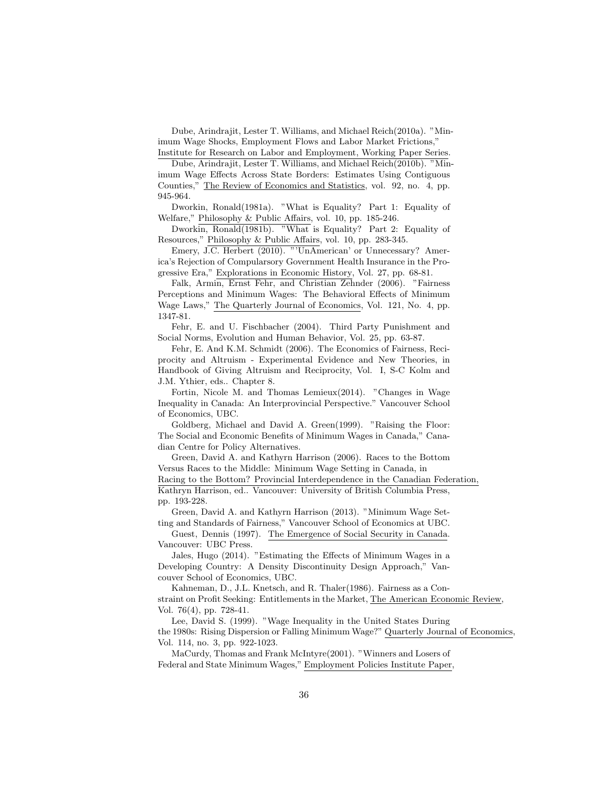Dube, Arindrajit, Lester T. Williams, and Michael Reich(2010a). "Minimum Wage Shocks, Employment Flows and Labor Market Frictions," Institute for Research on Labor and Employment, Working Paper Series.

Dube, Arindrajit, Lester T. Williams, and Michael Reich(2010b). "Minimum Wage Effects Across State Borders: Estimates Using Contiguous Counties," The Review of Economics and Statistics, vol. 92, no. 4, pp. 945-964.

Dworkin, Ronald(1981a). "What is Equality? Part 1: Equality of Welfare," Philosophy & Public Affairs, vol. 10, pp. 185-246.

Dworkin, Ronald(1981b). "What is Equality? Part 2: Equality of Resources," Philosophy & Public Affairs, vol. 10, pp. 283-345.

Emery, J.C. Herbert (2010). "'UnAmerican' or Unnecessary? America's Rejection of Compularsory Government Health Insurance in the Progressive Era," Explorations in Economic History, Vol. 27, pp. 68-81.

Falk, Armin, Ernst Fehr, and Christian Zehnder (2006). "Fairness Perceptions and Minimum Wages: The Behavioral Effects of Minimum Wage Laws," The Quarterly Journal of Economics, Vol. 121, No. 4, pp. 1347-81.

Fehr, E. and U. Fischbacher (2004). Third Party Punishment and Social Norms, Evolution and Human Behavior, Vol. 25, pp. 63-87.

Fehr, E. And K.M. Schmidt (2006). The Economics of Fairness, Reciprocity and Altruism - Experimental Evidence and New Theories, in Handbook of Giving Altruism and Reciprocity, Vol. I, S-C Kolm and J.M. Ythier, eds.. Chapter 8.

Fortin, Nicole M. and Thomas Lemieux(2014). "Changes in Wage Inequality in Canada: An Interprovincial Perspective." Vancouver School of Economics, UBC.

Goldberg, Michael and David A. Green(1999). "Raising the Floor: The Social and Economic Benefits of Minimum Wages in Canada," Canadian Centre for Policy Alternatives.

Green, David A. and Kathyrn Harrison (2006). Races to the Bottom Versus Races to the Middle: Minimum Wage Setting in Canada, in Racing to the Bottom? Provincial Interdependence in the Canadian Federation, Kathryn Harrison, ed.. Vancouver: University of British Columbia Press, pp. 193-228.

Green, David A. and Kathyrn Harrison (2013). "Minimum Wage Setting and Standards of Fairness," Vancouver School of Economics at UBC.

Guest, Dennis (1997). The Emergence of Social Security in Canada. Vancouver: UBC Press.

Jales, Hugo (2014). "Estimating the Effects of Minimum Wages in a Developing Country: A Density Discontinuity Design Approach," Vancouver School of Economics, UBC.

Kahneman, D., J.L. Knetsch, and R. Thaler(1986). Fairness as a Constraint on Profit Seeking: Entitlements in the Market, The American Economic Review, Vol. 76(4), pp. 728-41.

Lee, David S. (1999). "Wage Inequality in the United States During the 1980s: Rising Dispersion or Falling Minimum Wage?" Quarterly Journal of Economics, Vol. 114, no. 3, pp. 922-1023.

MaCurdy, Thomas and Frank McIntyre(2001). "Winners and Losers of Federal and State Minimum Wages," Employment Policies Institute Paper,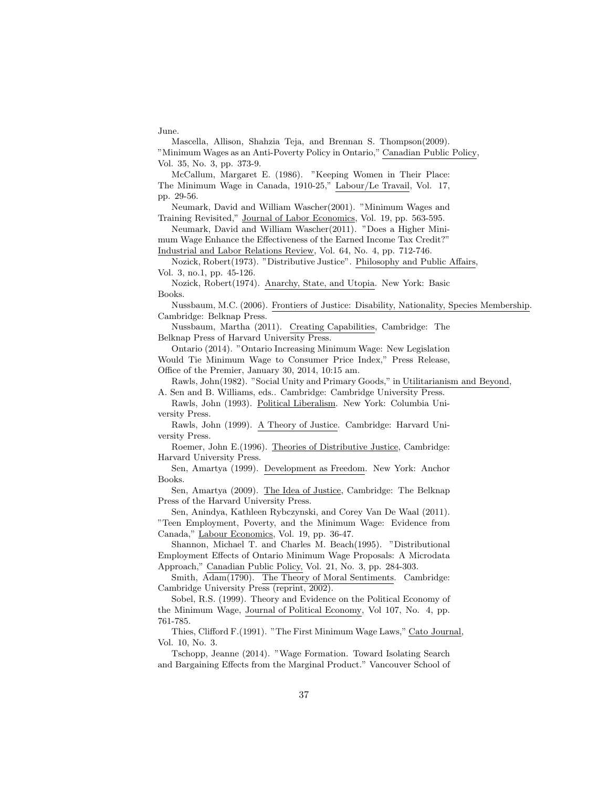June.

Mascella, Allison, Shahzia Teja, and Brennan S. Thompson(2009). "Minimum Wages as an Anti-Poverty Policy in Ontario," Canadian Public Policy, Vol. 35, No. 3, pp. 373-9. McCallum, Margaret E. (1986). "Keeping Women in Their Place: The Minimum Wage in Canada, 1910-25," Labour/Le Travail, Vol. 17, pp. 29-56. Neumark, David and William Wascher(2001). "Minimum Wages and Training Revisited," Journal of Labor Economics, Vol. 19, pp. 563-595. Neumark, David and William Wascher(2011). "Does a Higher Minimum Wage Enhance the Effectiveness of the Earned Income Tax Credit?" Industrial and Labor Relations Review, Vol. 64, No. 4, pp. 712-746. Nozick, Robert(1973). "Distributive Justice". Philosophy and Public Affairs, Vol. 3, no.1, pp. 45-126. Nozick, Robert(1974). Anarchy, State, and Utopia. New York: Basic Books. Nussbaum, M.C. (2006). Frontiers of Justice: Disability, Nationality, Species Membership. Cambridge: Belknap Press. Nussbaum, Martha (2011). Creating Capabilities, Cambridge: The Belknap Press of Harvard University Press. Ontario (2014). "Ontario Increasing Minimum Wage: New Legislation Would Tie Minimum Wage to Consumer Price Index," Press Release, Office of the Premier, January 30, 2014, 10:15 am. Rawls, John(1982). "Social Unity and Primary Goods," in Utilitarianism and Beyond, A. Sen and B. Williams, eds.. Cambridge: Cambridge University Press. Rawls, John (1993). Political Liberalism. New York: Columbia University Press. Rawls, John (1999). A Theory of Justice. Cambridge: Harvard University Press. Roemer, John E.(1996). Theories of Distributive Justice, Cambridge: Harvard University Press. Sen, Amartya (1999). Development as Freedom. New York: Anchor Books. Sen, Amartya (2009). The Idea of Justice, Cambridge: The Belknap Press of the Harvard University Press. Sen, Anindya, Kathleen Rybczynski, and Corey Van De Waal (2011). "Teen Employment, Poverty, and the Minimum Wage: Evidence from Canada," Labour Economics, Vol. 19, pp. 36-47. Shannon, Michael T. and Charles M. Beach(1995). "Distributional Employment Effects of Ontario Minimum Wage Proposals: A Microdata Approach," Canadian Public Policy, Vol. 21, No. 3, pp. 284-303. Smith, Adam(1790). The Theory of Moral Sentiments. Cambridge: Cambridge University Press (reprint, 2002). Sobel, R.S. (1999). Theory and Evidence on the Political Economy of the Minimum Wage, Journal of Political Economy, Vol 107, No. 4, pp. 761-785.

Thies, Clifford F.(1991). "The First Minimum Wage Laws," Cato Journal, Vol. 10, No. 3.

Tschopp, Jeanne (2014). "Wage Formation. Toward Isolating Search and Bargaining Effects from the Marginal Product." Vancouver School of